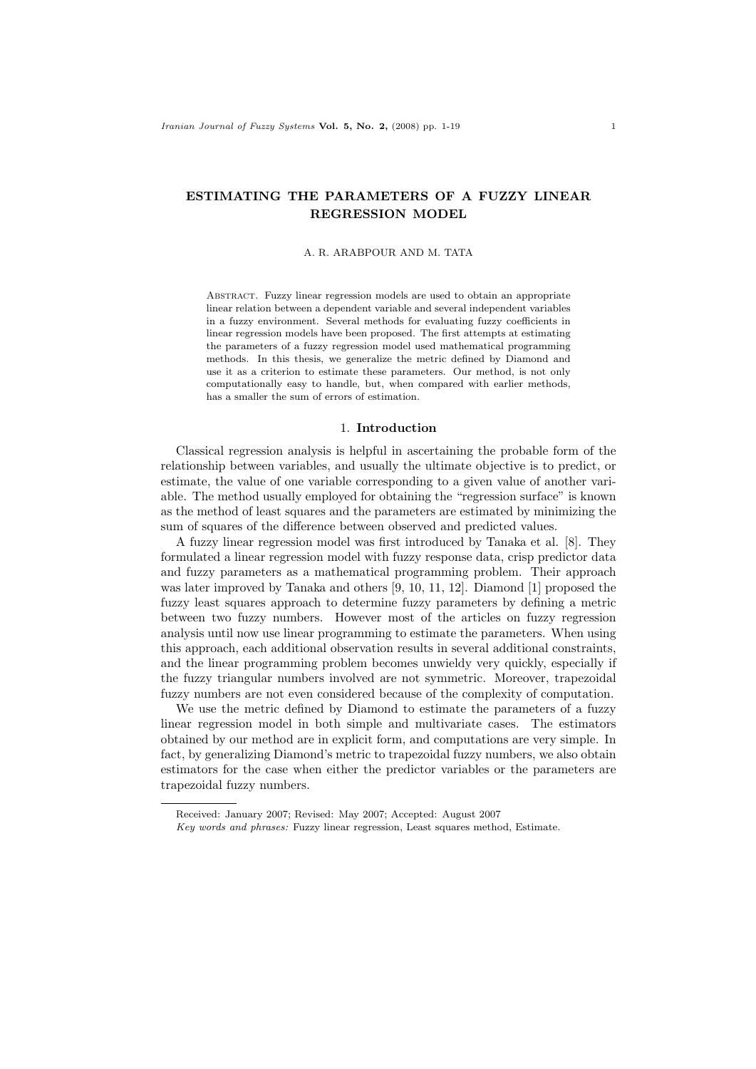# ESTIMATING THE PARAMETERS OF A FUZZY LINEAR REGRESSION MODEL

#### A. R. ARABPOUR AND M. TATA

Abstract. Fuzzy linear regression models are used to obtain an appropriate linear relation between a dependent variable and several independent variables in a fuzzy environment. Several methods for evaluating fuzzy coefficients in linear regression models have been proposed. The first attempts at estimating the parameters of a fuzzy regression model used mathematical programming methods. In this thesis, we generalize the metric defined by Diamond and use it as a criterion to estimate these parameters. Our method, is not only computationally easy to handle, but, when compared with earlier methods, has a smaller the sum of errors of estimation.

### 1. Introduction

Classical regression analysis is helpful in ascertaining the probable form of the relationship between variables, and usually the ultimate objective is to predict, or estimate, the value of one variable corresponding to a given value of another variable. The method usually employed for obtaining the "regression surface" is known as the method of least squares and the parameters are estimated by minimizing the sum of squares of the difference between observed and predicted values.

A fuzzy linear regression model was first introduced by Tanaka et al. [8]. They formulated a linear regression model with fuzzy response data, crisp predictor data and fuzzy parameters as a mathematical programming problem. Their approach was later improved by Tanaka and others [9, 10, 11, 12]. Diamond [1] proposed the fuzzy least squares approach to determine fuzzy parameters by defining a metric between two fuzzy numbers. However most of the articles on fuzzy regression analysis until now use linear programming to estimate the parameters. When using this approach, each additional observation results in several additional constraints, and the linear programming problem becomes unwieldy very quickly, especially if the fuzzy triangular numbers involved are not symmetric. Moreover, trapezoidal fuzzy numbers are not even considered because of the complexity of computation.

We use the metric defined by Diamond to estimate the parameters of a fuzzy linear regression model in both simple and multivariate cases. The estimators obtained by our method are in explicit form, and computations are very simple. In fact, by generalizing Diamond's metric to trapezoidal fuzzy numbers, we also obtain estimators for the case when either the predictor variables or the parameters are trapezoidal fuzzy numbers.

Received: January 2007; Revised: May 2007; Accepted: August 2007

Key words and phrases: Fuzzy linear regression, Least squares method, Estimate.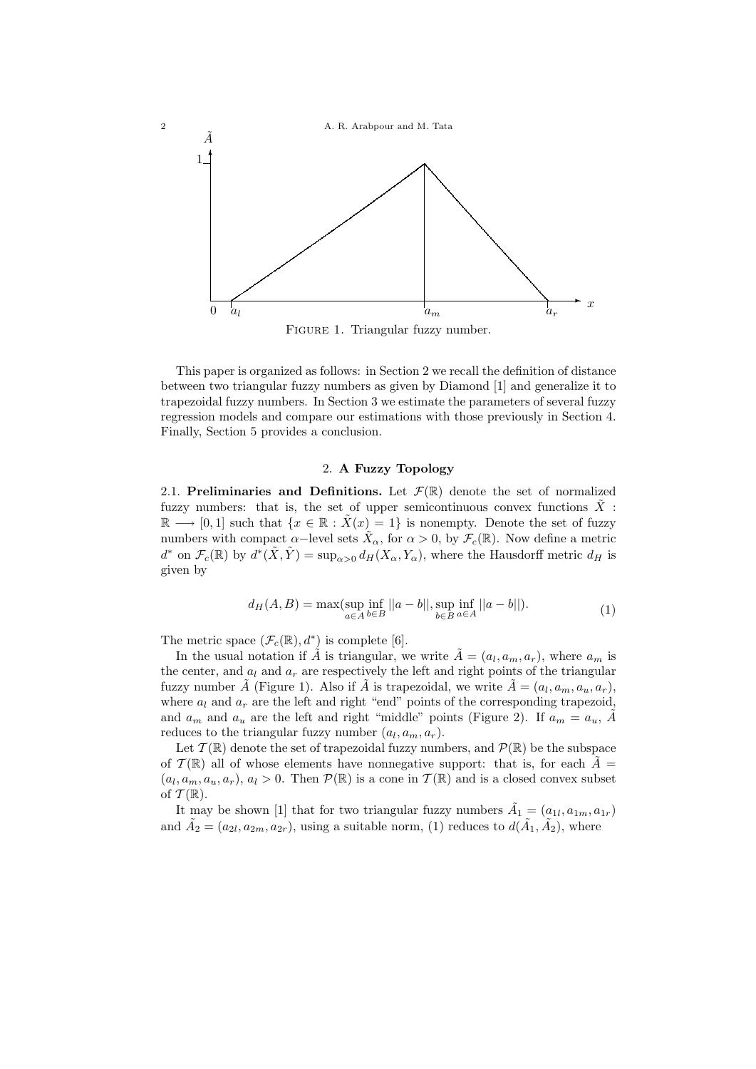

FIGURE 1. Triangular fuzzy number.

This paper is organized as follows: in Section 2 we recall the definition of distance between two triangular fuzzy numbers as given by Diamond [1] and generalize it to trapezoidal fuzzy numbers. In Section 3 we estimate the parameters of several fuzzy regression models and compare our estimations with those previously in Section 4. Finally, Section 5 provides a conclusion.

# 2. A Fuzzy Topology

2.1. Preliminaries and Definitions. Let  $\mathcal{F}(\mathbb{R})$  denote the set of normalized fuzzy numbers: that is, the set of upper semicontinuous convex functions  $\tilde{X}$ :  $\mathbb{R} \longrightarrow [0,1]$  such that  $\{x \in \mathbb{R} : \tilde{X}(x) = 1\}$  is nonempty. Denote the set of fuzzy numbers with compact  $\alpha$ -level sets  $\tilde{X}_{\alpha}$ , for  $\alpha > 0$ , by  $\mathcal{F}_c(\mathbb{R})$ . Now define a metric  $d^*$  on  $\mathcal{F}_c(\mathbb{R})$  by  $d^*(\tilde{X}, \tilde{Y}) = \sup_{\alpha>0} d_H(X_\alpha, Y_\alpha)$ , where the Hausdorff metric  $d_H$  is given by

$$
d_H(A, B) = \max(\sup_{a \in A} \inf_{b \in B} ||a - b||, \sup_{b \in B} \inf_{a \in A} ||a - b||). \tag{1}
$$

The metric space  $(\mathcal{F}_c(\mathbb{R}), d^*)$  is complete [6].

In the usual notation if  $\tilde{A}$  is triangular, we write  $\tilde{A} = (a_l, a_m, a_r)$ , where  $a_m$  is the center, and  $a_l$  and  $a_r$  are respectively the left and right points of the triangular fuzzy number  $\tilde{A}$  (Figure 1). Also if  $\tilde{A}$  is trapezoidal, we write  $\tilde{A} = (a_l, a_m, a_u, a_r)$ , where  $a_l$  and  $a_r$  are the left and right "end" points of the corresponding trapezoid, and  $a_m$  and  $a_u$  are the left and right "middle" points (Figure 2). If  $a_m = a_u$ ,  $\tilde{A}$ reduces to the triangular fuzzy number  $(a_l, a_m, a_r)$ .

Let  $\mathcal{T}(\mathbb{R})$  denote the set of trapezoidal fuzzy numbers, and  $\mathcal{P}(\mathbb{R})$  be the subspace of  $\mathcal{T}(\mathbb{R})$  all of whose elements have nonnegative support: that is, for each  $\tilde{A} =$  $(a_l, a_m, a_u, a_r), a_l > 0$ . Then  $\mathcal{P}(\mathbb{R})$  is a cone in  $\mathcal{T}(\mathbb{R})$  and is a closed convex subset of  $\mathcal{T}(\mathbb{R})$ .

It may be shown [1] that for two triangular fuzzy numbers  $\tilde{A}_1 = (a_{1l}, a_{1m}, a_{1r})$ and  $\tilde{A}_2 = (a_{2l}, a_{2m}, a_{2r})$ , using a suitable norm, (1) reduces to  $d(\tilde{A}_1, \tilde{A}_2)$ , where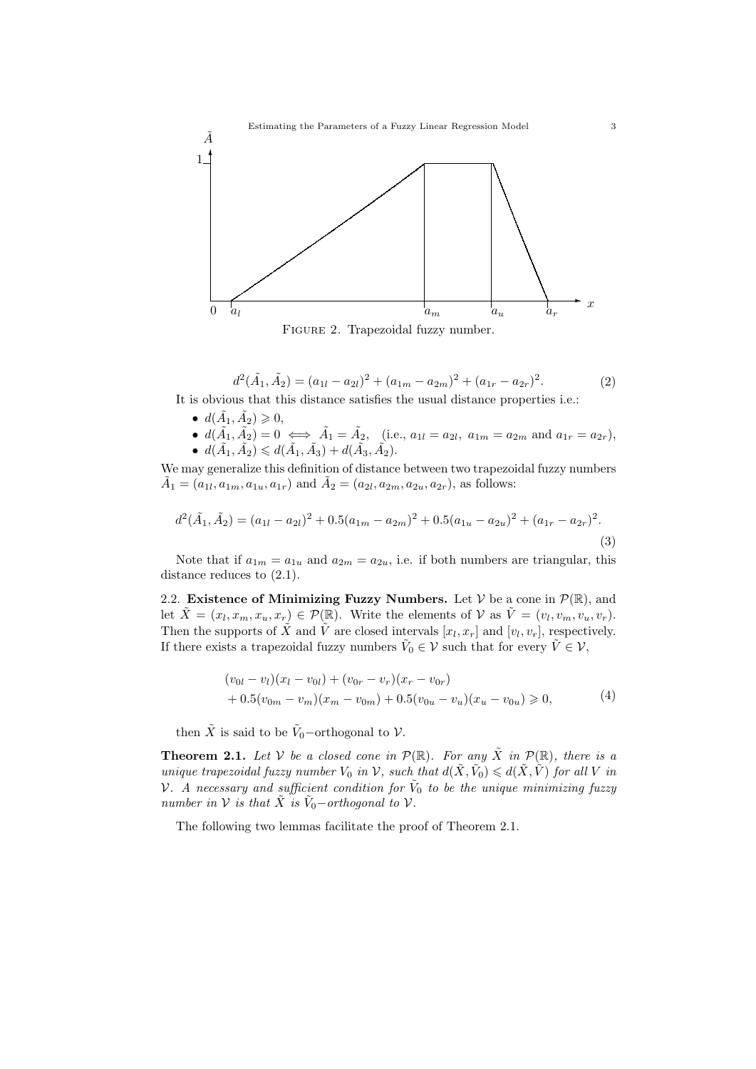

Figure 2. Trapezoidal fuzzy number.

$$
d^{2}(\tilde{A}_{1}, \tilde{A}_{2}) = (a_{1l} - a_{2l})^{2} + (a_{1m} - a_{2m})^{2} + (a_{1r} - a_{2r})^{2}.
$$
 (2)

It is obvious that this distance satisfies the usual distance properties i.e.:

- $d(\tilde{A}_1, \tilde{A}_2) \geqslant 0,$
- $d(\tilde{A}_1, \tilde{A}_2) = 0 \iff \tilde{A}_1 = \tilde{A}_2$ , (i.e.,  $a_{1l} = a_{2l}$ ,  $a_{1m} = a_{2m}$  and  $a_{1r} = a_{2r}$ ), •  $d(\tilde{A}_1, \tilde{A}_2) \leq d(\tilde{A}_1, \tilde{A}_3) + d(\tilde{A}_3, \tilde{A}_2).$

We may generalize this definition of distance between two trapezoidal fuzzy numbers  $\tilde{A}_1 = (a_{1l}, a_{1m}, a_{1u}, a_{1r})$  and  $\tilde{A}_2 = (a_{2l}, a_{2m}, a_{2u}, a_{2r})$ , as follows:

$$
d^{2}(\tilde{A}_{1}, \tilde{A}_{2}) = (a_{1l} - a_{2l})^{2} + 0.5(a_{1m} - a_{2m})^{2} + 0.5(a_{1u} - a_{2u})^{2} + (a_{1r} - a_{2r})^{2}.
$$
\n(3)

Note that if  $a_{1m} = a_{1u}$  and  $a_{2m} = a_{2u}$ , i.e. if both numbers are triangular, this distance reduces to (2.1).

2.2. Existence of Minimizing Fuzzy Numbers. Let  $V$  be a cone in  $\mathcal{P}(\mathbb{R})$ , and let  $\tilde{X} = (x_l, x_m, x_u, x_r) \in \mathcal{P}(\mathbb{R})$ . Write the elements of  $\mathcal{V}$  as  $\tilde{V} = (v_l, v_m, v_u, v_r)$ . Then the supports of  $\tilde{X}$  and  $\tilde{V}$  are closed intervals  $[x_l, x_r]$  and  $[v_l, v_r]$ , respectively. If there exists a trapezoidal fuzzy numbers  $\tilde{V}_0 \in \mathcal{V}$  such that for every  $\tilde{V} \in \mathcal{V}$ ,

$$
(v_{0l} - v_l)(x_l - v_{0l}) + (v_{0r} - v_r)(x_r - v_{0r})
$$
  
+ 0.5(v\_{0m} - v\_m)(x\_m - v\_{0m}) + 0.5(v\_{0u} - v\_u)(x\_u - v\_{0u}) \ge 0, (4)

then  $\tilde{X}$  is said to be  $\tilde{V}_0$ -orthogonal to  $\mathcal{V}$ .

**Theorem 2.1.** Let V be a closed cone in  $\mathcal{P}(\mathbb{R})$ . For any  $\tilde{X}$  in  $\mathcal{P}(\mathbb{R})$ , there is a unique trapezoidal fuzzy number  $V_0$  in V, such that  $d(\tilde{X}, \tilde{V}_0) \le d(\tilde{X}, \tilde{V})$  for all V in V. A necessary and sufficient condition for  $\tilde{V}_0$  to be the unique minimizing fuzzy number in  $V$  is that  $\tilde{X}$  is  $\tilde{V}_0$  – orthogonal to  $V$ .

The following two lemmas facilitate the proof of Theorem 2.1.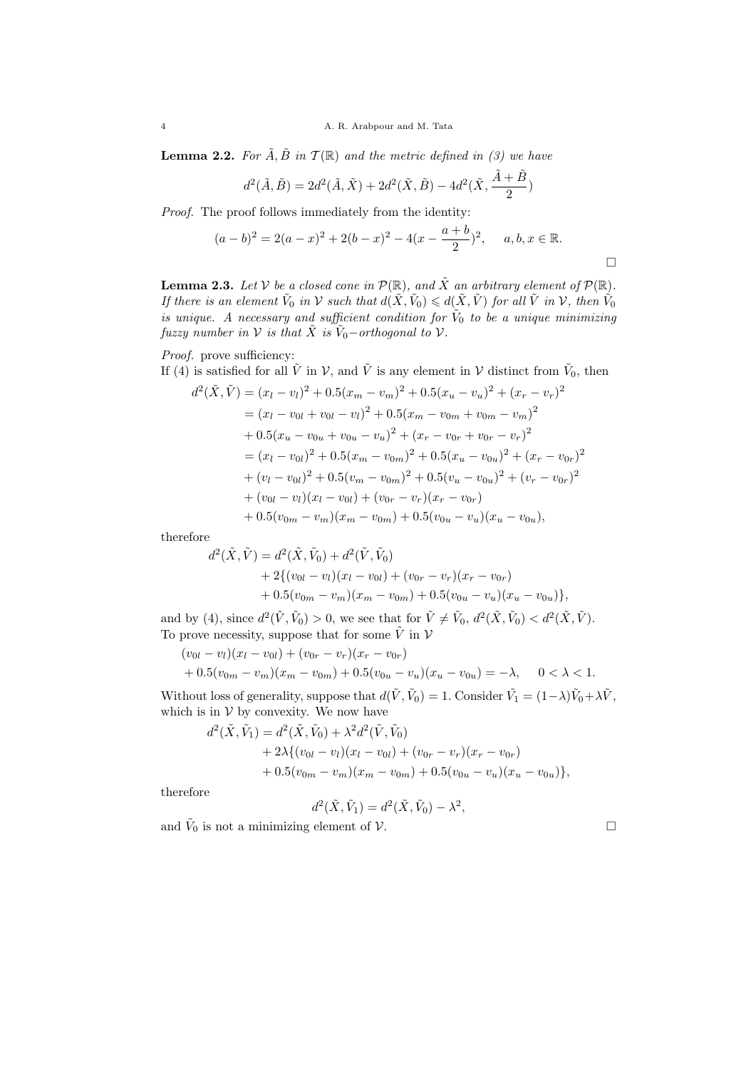**Lemma 2.2.** For  $\tilde{A}, \tilde{B}$  in  $\mathcal{T}(\mathbb{R})$  and the metric defined in (3) we have

$$
d^{2}(\tilde{A}, \tilde{B}) = 2d^{2}(\tilde{A}, \tilde{X}) + 2d^{2}(\tilde{X}, \tilde{B}) - 4d^{2}(\tilde{X}, \frac{\tilde{A} + \tilde{B}}{2})
$$

Proof. The proof follows immediately from the identity:

$$
(a-b)^2 = 2(a-x)^2 + 2(b-x)^2 - 4(x - \frac{a+b}{2})^2, \quad a, b, x \in \mathbb{R}.
$$

**Lemma 2.3.** Let  $V$  be a closed cone in  $\mathcal{P}(\mathbb{R})$ , and  $\tilde{X}$  an arbitrary element of  $\mathcal{P}(\mathbb{R})$ . If there is an element  $\tilde{V}_0$  in  $\cal V$  such that  $d(\tilde{X}, \tilde{V}_0) \leq d(\tilde{X}, \tilde{V})$  for all  $\tilde{V}$  in  $\cal V$ , then  $\tilde{V}_0$ is unique. A necessary and sufficient condition for  $V_0$  to be a unique minimizing fuzzy number in  $\mathcal V$  is that  $\tilde X$  is  $\tilde V_0$ –orthogonal to  $\mathcal V$ .

Proof. prove sufficiency:

If (4) is satisfied for all 
$$
\tilde{V}
$$
 in  $\mathcal{V}$ , and  $\tilde{V}$  is any element in  $\mathcal{V}$  distinct from  $\tilde{V}_0$ , then

$$
d^{2}(\tilde{X}, \tilde{V}) = (x_{l} - v_{l})^{2} + 0.5(x_{m} - v_{m})^{2} + 0.5(x_{u} - v_{u})^{2} + (x_{r} - v_{r})^{2}
$$
  
=  $(x_{l} - v_{0l} + v_{0l} - v_{l})^{2} + 0.5(x_{m} - v_{0m} + v_{0m} - v_{m})^{2}$   
+  $0.5(x_{u} - v_{0u} + v_{0u} - v_{u})^{2} + (x_{r} - v_{0r} + v_{0r} - v_{r})^{2}$   
=  $(x_{l} - v_{0l})^{2} + 0.5(x_{m} - v_{0m})^{2} + 0.5(x_{u} - v_{0u})^{2} + (x_{r} - v_{0r})^{2}$   
+  $(v_{l} - v_{0l})^{2} + 0.5(v_{m} - v_{0m})^{2} + 0.5(v_{u} - v_{0u})^{2} + (v_{r} - v_{0r})^{2}$   
+  $(v_{0l} - v_{l})(x_{l} - v_{0l}) + (v_{0r} - v_{r})(x_{r} - v_{0r})$   
+  $0.5(v_{0m} - v_{m})(x_{m} - v_{0m}) + 0.5(v_{0u} - v_{u})(x_{u} - v_{0u}),$ 

therefore

$$
d^{2}(\tilde{X}, \tilde{V}) = d^{2}(\tilde{X}, \tilde{V}_{0}) + d^{2}(\tilde{V}, \tilde{V}_{0})
$$
  
+ 2{(v<sub>0l</sub> - v<sub>l</sub>)(x<sub>l</sub> - v<sub>0l</sub>) + (v<sub>0r</sub> - v<sub>r</sub>)(x<sub>r</sub> - v<sub>0r</sub>)  
+ 0.5(v<sub>0m</sub> - v<sub>m</sub>)(x<sub>m</sub> - v<sub>0m</sub>) + 0.5(v<sub>0u</sub> - v<sub>u</sub>)(x<sub>u</sub> - v<sub>0u</sub>)},

and by (4), since  $d^2(\tilde{V}, \tilde{V}_0) > 0$ , we see that for  $\tilde{V} \neq \tilde{V}_0$ ,  $d^2(\tilde{X}, \tilde{V}_0) < d^2(\tilde{X}, \tilde{V})$ . To prove necessity, suppose that for some  $\tilde{V}$  in  $\mathcal V$ 

$$
(v_{0l} - v_l)(x_l - v_{0l}) + (v_{0r} - v_r)(x_r - v_{0r})
$$
  
+ 0.5 $(v_{0m} - v_m)(x_m - v_{0m}) + 0.5(v_{0u} - v_u)(x_u - v_{0u}) = -\lambda$ , 0 < \lambda < 1.

Without loss of generality, suppose that  $d(\tilde{V}, \tilde{V}_0) = 1$ . Consider  $\tilde{V}_1 = (1 - \lambda)\tilde{V}_0 + \lambda \tilde{V}$ , which is in  $V$  by convexity. We now have

$$
d^{2}(\tilde{X}, \tilde{V}_{1}) = d^{2}(\tilde{X}, \tilde{V}_{0}) + \lambda^{2} d^{2}(\tilde{V}, \tilde{V}_{0}) + 2\lambda \{ (v_{0l} - v_{l})(x_{l} - v_{0l}) + (v_{0r} - v_{r})(x_{r} - v_{0r}) + 0.5(v_{0m} - v_{m})(x_{m} - v_{0m}) + 0.5(v_{0u} - v_{u})(x_{u} - v_{0u}) \},
$$

therefore

$$
d^2(\tilde{X}, \tilde{V}_1) = d^2(\tilde{X}, \tilde{V}_0) - \lambda^2
$$

,

and  $\tilde{V}_0$  is not a minimizing element of  $V$ .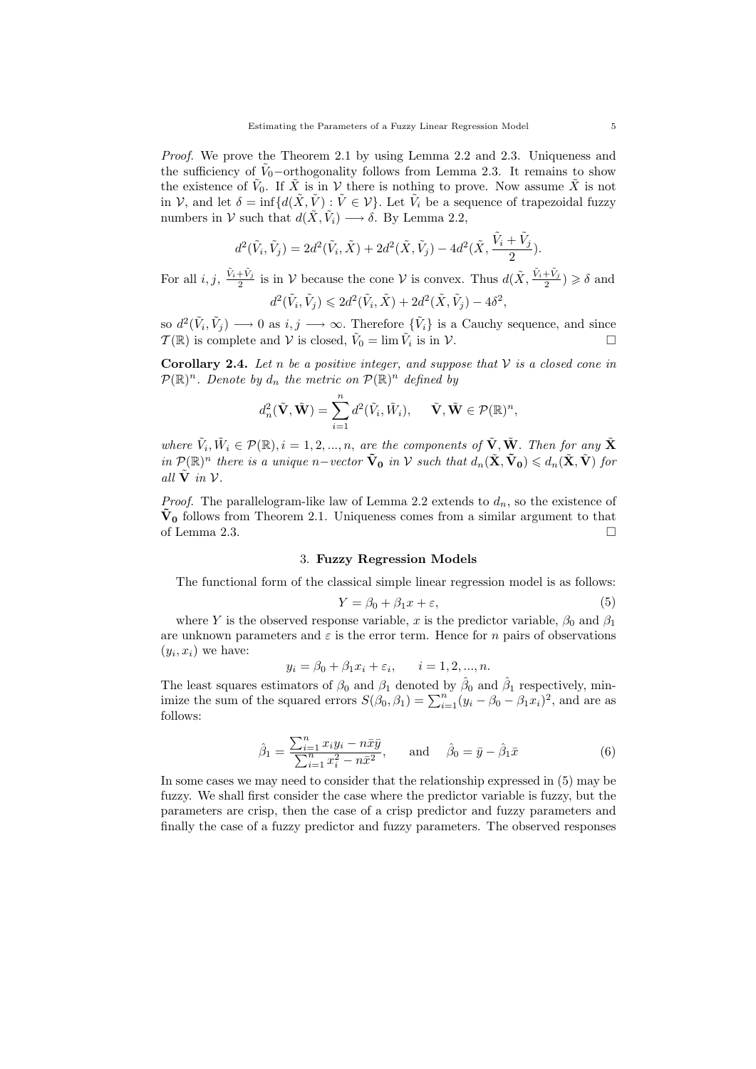Proof. We prove the Theorem 2.1 by using Lemma 2.2 and 2.3. Uniqueness and the sufficiency of  $\tilde{V}_0$ -orthogonality follows from Lemma 2.3. It remains to show the existence of  $\tilde{V}_0$ . If  $\tilde{X}$  is in  $\mathcal V$  there is nothing to prove. Now assume  $\tilde{X}$  is not in V, and let  $\delta = \inf \{ d(\tilde{X}, \tilde{V}) : \tilde{V} \in \mathcal{V} \}$ . Let  $\tilde{V}_i$  be a sequence of trapezoidal fuzzy numbers in  $V$  such that  $d(\tilde{X}, \tilde{V}_i) \longrightarrow \delta$ . By Lemma 2.2,

$$
d^{2}(\tilde{V}_{i}, \tilde{V}_{j}) = 2d^{2}(\tilde{V}_{i}, \tilde{X}) + 2d^{2}(\tilde{X}, \tilde{V}_{j}) - 4d^{2}(\tilde{X}, \frac{\tilde{V}_{i} + \tilde{V}_{j}}{2}).
$$

For all  $i, j$ ,  $\frac{\tilde{V}_i + \tilde{V}_j}{2}$  is in V because the cone V is convex. Thus  $d(\tilde{X}, \frac{\tilde{V}_i + \tilde{V}_j}{2}) \ge \delta$  and

$$
d^2(\tilde{V}_i, \tilde{V}_j) \leq 2d^2(\tilde{V}_i, \tilde{X}) + 2d^2(\tilde{X}, \tilde{V}_j) - 4\delta^2,
$$

so  $d^2(\tilde{V}_i, \tilde{V}_j) \longrightarrow 0$  as  $i, j \longrightarrow \infty$ . Therefore  $\{\tilde{V}_i\}$  is a Cauchy sequence, and since  $\mathcal{T}(\mathbb{R})$  is complete and  $\mathcal V$  is closed,  $\tilde{V}_0 = \lim \tilde{V}_i$  is in  $\mathcal V$ .

Corollary 2.4. Let n be a positive integer, and suppose that  $V$  is a closed cone in  $\mathcal{P}(\mathbb{R})^n$ . Denote by  $d_n$  the metric on  $\mathcal{P}(\mathbb{R})^n$  defined by

$$
d_n^2(\tilde{\mathbf{V}}, \tilde{\mathbf{W}}) = \sum_{i=1}^n d^2(\tilde{V}_i, \tilde{W}_i), \quad \tilde{\mathbf{V}}, \tilde{\mathbf{W}} \in \mathcal{P}(\mathbb{R})^n,
$$

where  $\tilde{V}_i, \tilde{W}_i \in \mathcal{P}(\mathbb{R}), i = 1, 2, ..., n$ , are the components of  $\tilde{V}, \tilde{W}$ . Then for any  $\tilde{X}$ in  $\mathcal{P}(\mathbb{R})^n$  there is a unique n–vector  $\tilde{\mathbf{V}}_0$  in V such that  $d_n(\tilde{\mathbf{X}}, \tilde{\mathbf{V}}_0) \leq d_n(\tilde{\mathbf{X}}, \tilde{\mathbf{V}})$  for all  $\tilde{V}$  in  $V$ .

*Proof.* The parallelogram-like law of Lemma 2.2 extends to  $d_n$ , so the existence of  $\tilde{V}_0$  follows from Theorem 2.1. Uniqueness comes from a similar argument to that of Lemma 2.3.  $\Box$ 

### 3. Fuzzy Regression Models

The functional form of the classical simple linear regression model is as follows:

$$
Y = \beta_0 + \beta_1 x + \varepsilon,\tag{5}
$$

where Y is the observed response variable, x is the predictor variable,  $\beta_0$  and  $\beta_1$ are unknown parameters and  $\varepsilon$  is the error term. Hence for *n* pairs of observations  $(y_i, x_i)$  we have:

$$
y_i = \beta_0 + \beta_1 x_i + \varepsilon_i, \qquad i = 1, 2, ..., n.
$$

The least squares estimators of  $\beta_0$  and  $\beta_1$  denoted by  $\hat{\beta}_0$  and  $\hat{\beta}_1$  respectively, minimize the sum of the squared errors  $S(\beta_0, \beta_1) = \sum_{i=1}^n (y_i - \beta_0 - \beta_1 x_i)^2$ , and are as follows:

$$
\hat{\beta}_1 = \frac{\sum_{i=1}^n x_i y_i - n \bar{x} \bar{y}}{\sum_{i=1}^n x_i^2 - n \bar{x}^2}, \quad \text{and} \quad \hat{\beta}_0 = \bar{y} - \hat{\beta}_1 \bar{x}
$$
 (6)

In some cases we may need to consider that the relationship expressed in (5) may be fuzzy. We shall first consider the case where the predictor variable is fuzzy, but the parameters are crisp, then the case of a crisp predictor and fuzzy parameters and finally the case of a fuzzy predictor and fuzzy parameters. The observed responses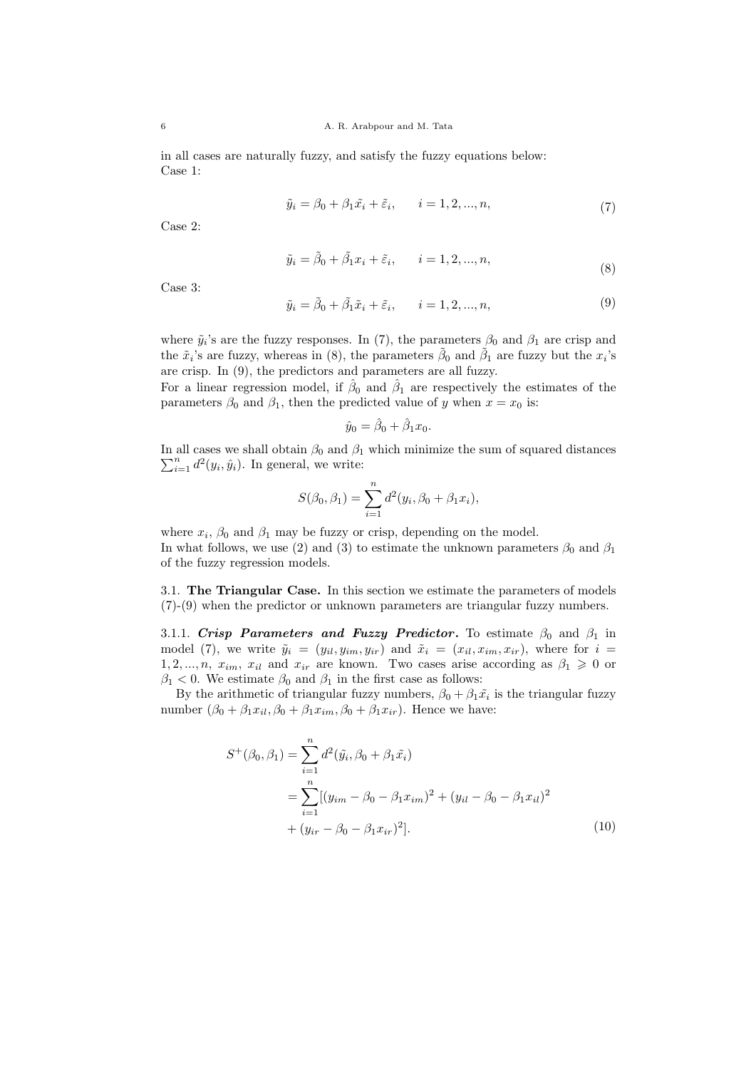in all cases are naturally fuzzy, and satisfy the fuzzy equations below: Case 1:

$$
\tilde{y}_i = \beta_0 + \beta_1 \tilde{x}_i + \tilde{\varepsilon}_i, \qquad i = 1, 2, ..., n,
$$
\n
$$
(7)
$$

Case 2:

$$
\tilde{y}_i = \tilde{\beta}_0 + \tilde{\beta}_1 x_i + \tilde{\varepsilon}_i, \qquad i = 1, 2, ..., n,
$$
\n(8)

Case 3:

$$
\tilde{y}_i = \tilde{\beta}_0 + \tilde{\beta}_1 \tilde{x}_i + \tilde{\varepsilon}_i, \qquad i = 1, 2, ..., n,
$$
\n(9)

where  $\tilde{y}_i$ 's are the fuzzy responses. In (7), the parameters  $\beta_0$  and  $\beta_1$  are crisp and the  $\tilde{x}_i$ 's are fuzzy, whereas in (8), the parameters  $\tilde{\beta}_0$  and  $\tilde{\beta}_1$  are fuzzy but the  $x_i$ 's are crisp. In (9), the predictors and parameters are all fuzzy.

For a linear regression model, if  $\hat{\beta}_0$  and  $\hat{\beta}_1$  are respectively the estimates of the parameters  $\beta_0$  and  $\beta_1$ , then the predicted value of y when  $x = x_0$  is:

$$
\hat{y}_0 = \hat{\beta}_0 + \hat{\beta}_1 x_0.
$$

In all cases we shall obtain  $\beta_0$  and  $\beta_1$  which minimize the sum of squared distances  $\sum_{i=1}^{n} d^2(y_i, \hat{y}_i)$ . In general, we write:

$$
S(\beta_0, \beta_1) = \sum_{i=1}^n d^2(y_i, \beta_0 + \beta_1 x_i),
$$

where  $x_i$ ,  $\beta_0$  and  $\beta_1$  may be fuzzy or crisp, depending on the model. In what follows, we use (2) and (3) to estimate the unknown parameters  $\beta_0$  and  $\beta_1$ of the fuzzy regression models.

3.1. The Triangular Case. In this section we estimate the parameters of models (7)-(9) when the predictor or unknown parameters are triangular fuzzy numbers.

3.1.1. Crisp Parameters and Fuzzy Predictor. To estimate  $\beta_0$  and  $\beta_1$  in model (7), we write  $\tilde{y}_i = (y_{il}, y_{im}, y_{ir})$  and  $\tilde{x}_i = (x_{il}, x_{im}, x_{ir})$ , where for  $i =$ 1, 2, ..., n,  $x_{im}$ ,  $x_{il}$  and  $x_{ir}$  are known. Two cases arise according as  $\beta_1 \geq 0$  or  $\beta_1$  < 0. We estimate  $\beta_0$  and  $\beta_1$  in the first case as follows:

By the arithmetic of triangular fuzzy numbers,  $\beta_0 + \beta_1 \tilde{x}_i$  is the triangular fuzzy number  $(\beta_0 + \beta_1 x_{il}, \beta_0 + \beta_1 x_{im}, \beta_0 + \beta_1 x_{ir})$ . Hence we have:

$$
S^{+}(\beta_{0}, \beta_{1}) = \sum_{i=1}^{n} d^{2}(\tilde{y}_{i}, \beta_{0} + \beta_{1}\tilde{x}_{i})
$$
  
= 
$$
\sum_{i=1}^{n} [(y_{im} - \beta_{0} - \beta_{1}x_{im})^{2} + (y_{il} - \beta_{0} - \beta_{1}x_{il})^{2}
$$
  
+ 
$$
(y_{ir} - \beta_{0} - \beta_{1}x_{ir})^{2}].
$$
 (10)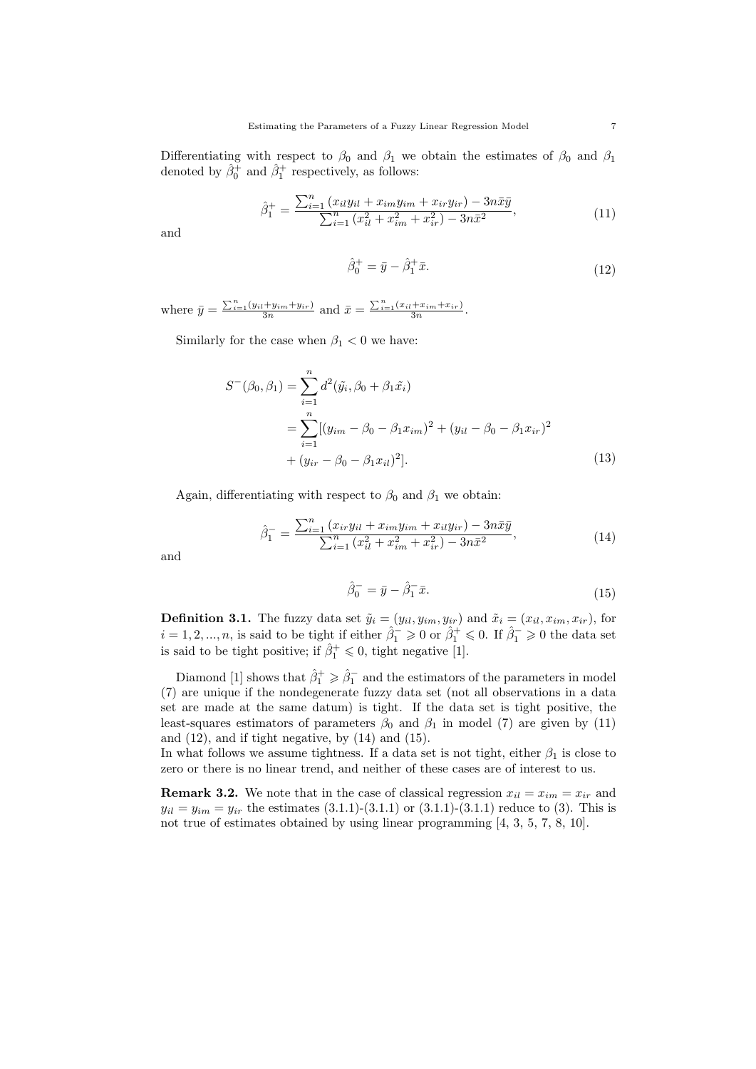Differentiating with respect to  $\beta_0$  and  $\beta_1$  we obtain the estimates of  $\beta_0$  and  $\beta_1$ denoted by  $\hat{\beta}_0^+$  and  $\hat{\beta}_1^+$  respectively, as follows:

$$
\hat{\beta}_1^+ = \frac{\sum_{i=1}^n (x_{il}y_{il} + x_{im}y_{im} + x_{ir}y_{ir}) - 3n\bar{x}\bar{y}}{\sum_{i=1}^n (x_{il}^2 + x_{im}^2 + x_{ir}^2) - 3n\bar{x}^2},\tag{11}
$$

and

$$
\hat{\beta}_0^+ = \bar{y} - \hat{\beta}_1^+ \bar{x}.\tag{12}
$$

where  $\bar{y} = \frac{\sum_{i=1}^{n} (y_{il} + y_{im} + y_{ir})}{3n}$  and  $\bar{x} = \frac{\sum_{i=1}^{n} (x_{il} + x_{im} + x_{ir})}{3n}$ .

Similarly for the case when  $\beta_1 < 0$  we have:

$$
S^{-}(\beta_0, \beta_1) = \sum_{i=1}^{n} d^2(\tilde{y}_i, \beta_0 + \beta_1 \tilde{x}_i)
$$
  
= 
$$
\sum_{i=1}^{n} [(y_{im} - \beta_0 - \beta_1 x_{im})^2 + (y_{il} - \beta_0 - \beta_1 x_{ir})^2
$$
  
+ 
$$
(y_{ir} - \beta_0 - \beta_1 x_{il})^2].
$$
 (13)

Again, differentiating with respect to  $\beta_0$  and  $\beta_1$  we obtain:

$$
\hat{\beta}_1^- = \frac{\sum_{i=1}^n (x_{ir}y_{il} + x_{im}y_{im} + x_{il}y_{ir}) - 3n\bar{x}\bar{y}}{\sum_{i=1}^n (x_{il}^2 + x_{im}^2 + x_{ir}^2) - 3n\bar{x}^2},\tag{14}
$$

and

$$
\hat{\beta}_0^- = \bar{y} - \hat{\beta}_1^- \bar{x}.\tag{15}
$$

**Definition 3.1.** The fuzzy data set  $\tilde{y}_i = (y_{il}, y_{im}, y_{ir})$  and  $\tilde{x}_i = (x_{il}, x_{im}, x_{ir})$ , for  $i = 1, 2, ..., n$ , is said to be tight if either  $\hat{\beta}_1^- \geqslant 0$  or  $\hat{\beta}_1^+ \leqslant 0$ . If  $\hat{\beta}_1^- \geqslant 0$  the data set is said to be tight positive; if  $\hat{\beta}_1^+ \leq 0$ , tight negative [1].

Diamond [1] shows that  $\hat{\beta}_1^+ \geq \hat{\beta}_1^-$  and the estimators of the parameters in model (7) are unique if the nondegenerate fuzzy data set (not all observations in a data set are made at the same datum) is tight. If the data set is tight positive, the least-squares estimators of parameters  $\beta_0$  and  $\beta_1$  in model (7) are given by (11) and  $(12)$ , and if tight negative, by  $(14)$  and  $(15)$ .

In what follows we assume tightness. If a data set is not tight, either  $\beta_1$  is close to zero or there is no linear trend, and neither of these cases are of interest to us.

**Remark 3.2.** We note that in the case of classical regression  $x_{il} = x_{im} = x_{ir}$  and  $y_{il} = y_{im} = y_{ir}$  the estimates  $(3.1.1)-(3.1.1)$  or  $(3.1.1)-(3.1.1)$  reduce to  $(3)$ . This is not true of estimates obtained by using linear programming [4, 3, 5, 7, 8, 10].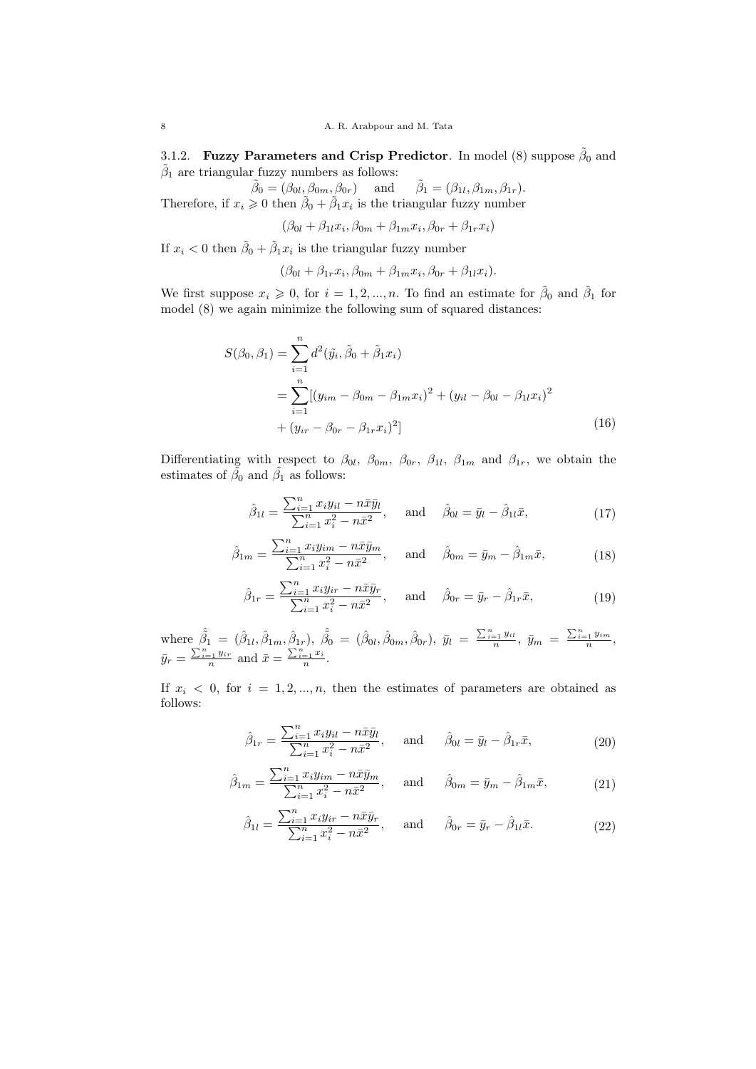3.1.2. Fuzzy Parameters and Crisp Predictor. In model (8) suppose  $\tilde{\beta}_0$  and  $\tilde{\beta}_1$  are triangular fuzzy numbers as follows:

 $\tilde{\beta}_0 = (\beta_{0l}, \beta_{0m}, \beta_{0r})$  and  $\tilde{\beta}_1 = (\beta_{1l}, \beta_{1m}, \beta_{1r}).$ Therefore, if  $x_i \geq 0$  then  $\tilde{\beta}_0 + \tilde{\beta}_1 x_i$  is the triangular fuzzy number

 $(\beta_{0l} + \beta_{1l}x_i, \beta_{0m} + \beta_{1m}x_i, \beta_{0r} + \beta_{1r}x_i)$ 

If  $x_i < 0$  then  $\tilde{\beta}_0 + \tilde{\beta}_1 x_i$  is the triangular fuzzy number

 $(\beta_{0l} + \beta_{1r}x_i, \beta_{0m} + \beta_{1m}x_i, \beta_{0r} + \beta_{1l}x_i).$ 

We first suppose  $x_i \geqslant 0$ , for  $i = 1, 2, ..., n$ . To find an estimate for  $\tilde{\beta}_0$  and  $\tilde{\beta}_1$  for model (8) we again minimize the following sum of squared distances:

$$
S(\beta_0, \beta_1) = \sum_{i=1}^n d^2(\tilde{y}_i, \tilde{\beta}_0 + \tilde{\beta}_1 x_i)
$$
  
= 
$$
\sum_{i=1}^n [(y_{im} - \beta_{0m} - \beta_{1m} x_i)^2 + (y_{il} - \beta_{0l} - \beta_{1l} x_i)^2
$$
  
+ 
$$
(y_{ir} - \beta_{0r} - \beta_{1r} x_i)^2]
$$
 (16)

Differentiating with respect to  $\beta_{0l}$ ,  $\beta_{0m}$ ,  $\beta_{0r}$ ,  $\beta_{1l}$ ,  $\beta_{1m}$  and  $\beta_{1r}$ , we obtain the estimates of  $\tilde{\beta}_0$  and  $\tilde{\beta}_1$  as follows:

$$
\hat{\beta}_{1l} = \frac{\sum_{i=1}^{n} x_i y_{il} - n \bar{x} \bar{y}_l}{\sum_{i=1}^{n} x_i^2 - n \bar{x}^2}, \quad \text{and} \quad \hat{\beta}_{0l} = \bar{y}_l - \hat{\beta}_{1l} \bar{x}, \tag{17}
$$

$$
\hat{\beta}_{1m} = \frac{\sum_{i=1}^{n} x_i y_{im} - n \bar{x} \bar{y}_m}{\sum_{i=1}^{n} x_i^2 - n \bar{x}^2}, \quad \text{and} \quad \hat{\beta}_{0m} = \bar{y}_m - \hat{\beta}_{1m} \bar{x}, \tag{18}
$$

$$
\hat{\beta}_{1r} = \frac{\sum_{i=1}^{n} x_i y_{ir} - n \bar{x} \bar{y}_r}{\sum_{i=1}^{n} x_i^2 - n \bar{x}^2}, \quad \text{and} \quad \hat{\beta}_{0r} = \bar{y}_r - \hat{\beta}_{1r} \bar{x}, \tag{19}
$$

where  $\hat{\beta}_1 = (\hat{\beta}_{1l}, \hat{\beta}_{1m}, \hat{\beta}_{1r}), \ \hat{\beta}_0 = (\hat{\beta}_{0l}, \hat{\beta}_{0m}, \hat{\beta}_{0r}), \ \bar{y}_l = \frac{\sum_{i=1}^n y_{il}}{n}, \ \bar{y}_m = \frac{\sum_{i=1}^n y_{im}}{n},$  $\bar{y}_r = \frac{\sum_{i=1}^n y_{ir}}{n}$  and  $\bar{x} = \frac{\sum_{i=1}^n x_i}{n}$ .

If  $x_i \leq 0$ , for  $i = 1, 2, ..., n$ , then the estimates of parameters are obtained as follows:

$$
\hat{\beta}_{1r} = \frac{\sum_{i=1}^{n} x_i y_{il} - n \bar{x} \bar{y}_l}{\sum_{i=1}^{n} x_i^2 - n \bar{x}^2}, \quad \text{and} \quad \hat{\beta}_{0l} = \bar{y}_l - \hat{\beta}_{1r} \bar{x}, \tag{20}
$$

$$
\hat{\beta}_{1m} = \frac{\sum_{i=1}^{n} x_i y_{im} - n \bar{x} \bar{y}_m}{\sum_{i=1}^{n} x_i^2 - n \bar{x}^2}, \quad \text{and} \quad \hat{\beta}_{0m} = \bar{y}_m - \hat{\beta}_{1m} \bar{x}, \tag{21}
$$

$$
\hat{\beta}_{1l} = \frac{\sum_{i=1}^{n} x_i y_{ir} - n \bar{x} \bar{y}_r}{\sum_{i=1}^{n} x_i^2 - n \bar{x}^2}, \quad \text{and} \quad \hat{\beta}_{0r} = \bar{y}_r - \hat{\beta}_{1l} \bar{x}.
$$
 (22)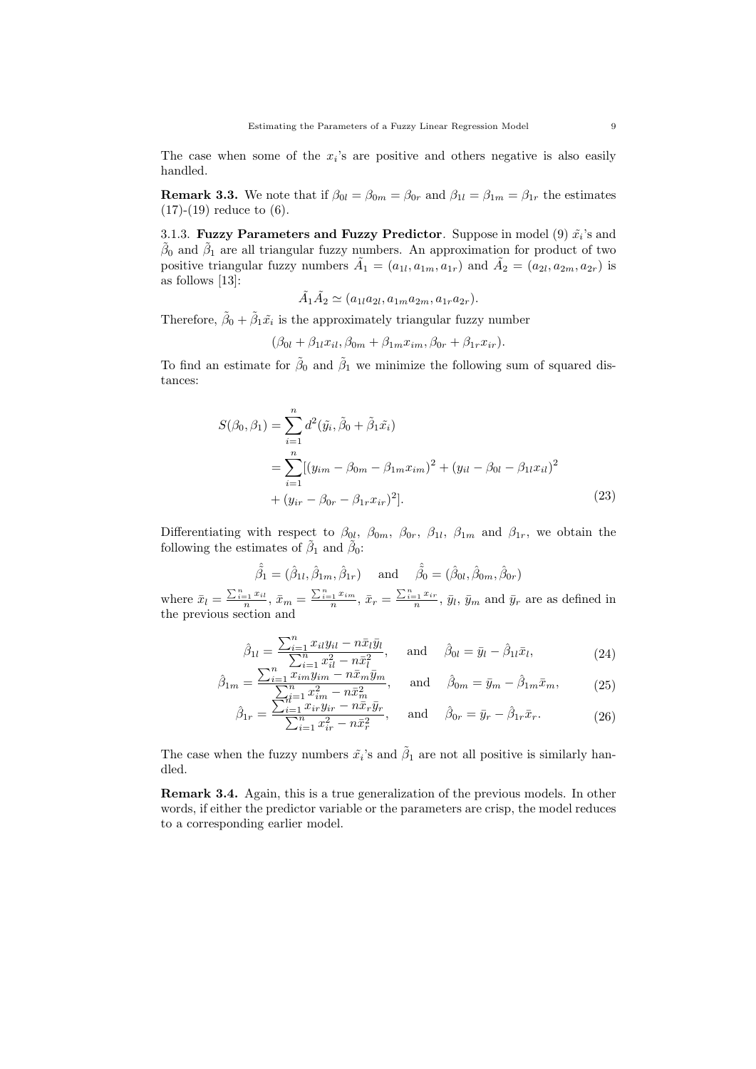The case when some of the  $x_i$ 's are positive and others negative is also easily handled.

**Remark 3.3.** We note that if  $\beta_{0l} = \beta_{0m} = \beta_{0r}$  and  $\beta_{1l} = \beta_{1m} = \beta_{1r}$  the estimates  $(17)-(19)$  reduce to  $(6)$ .

3.1.3. Fuzzy Parameters and Fuzzy Predictor. Suppose in model (9)  $\tilde{x_i}$ 's and  $\tilde{\beta}_0$  and  $\tilde{\beta}_1$  are all triangular fuzzy numbers. An approximation for product of two positive triangular fuzzy numbers  $\tilde{A}_1 = (a_{1l}, a_{1m}, a_{1r})$  and  $\tilde{A}_2 = (a_{2l}, a_{2m}, a_{2r})$  is as follows [13]:

$$
\tilde{A}_1 \tilde{A}_2 \simeq (a_{1l} a_{2l}, a_{1m} a_{2m}, a_{1r} a_{2r}).
$$

Therefore,  $\tilde{\beta}_0 + \tilde{\beta}_1 \tilde{x}_i$  is the approximately triangular fuzzy number

$$
(\beta_{0l} + \beta_{1l}x_{il}, \beta_{0m} + \beta_{1m}x_{im}, \beta_{0r} + \beta_{1r}x_{ir}).
$$

To find an estimate for  $\tilde{\beta}_0$  and  $\tilde{\beta}_1$  we minimize the following sum of squared distances:

$$
S(\beta_0, \beta_1) = \sum_{i=1}^n d^2(\tilde{y}_i, \tilde{\beta}_0 + \tilde{\beta}_1 \tilde{x}_i)
$$
  
= 
$$
\sum_{i=1}^n [(y_{im} - \beta_{0m} - \beta_{1m} x_{im})^2 + (y_{il} - \beta_{0l} - \beta_{1l} x_{il})^2
$$
  
+ 
$$
(y_{ir} - \beta_{0r} - \beta_{1r} x_{ir})^2].
$$
 (23)

Differentiating with respect to  $\beta_{0l}$ ,  $\beta_{0m}$ ,  $\beta_{0r}$ ,  $\beta_{1l}$ ,  $\beta_{1m}$  and  $\beta_{1r}$ , we obtain the following the estimates of  $\tilde{\beta}_1$  and  $\tilde{\beta}_0$ :

$$
\hat{\beta}_1 = (\hat{\beta}_{1l}, \hat{\beta}_{1m}, \hat{\beta}_{1r})
$$
 and  $\hat{\beta}_0 = (\hat{\beta}_{0l}, \hat{\beta}_{0m}, \hat{\beta}_{0r})$ 

where  $\bar{x}_l = \frac{\sum_{i=1}^n x_{il}}{n}, \bar{x}_m = \frac{\sum_{i=1}^n x_{im}}{n}, \bar{x}_r = \frac{\sum_{i=1}^n x_{ir}}{n}, \bar{y}_l, \bar{y}_m$  and  $\bar{y}_r$  are as defined in the previous section and

$$
\hat{\beta}_{1l} = \frac{\sum_{i=1}^{n} x_{il} y_{il} - n \bar{x}_{l} \bar{y}_{l}}{\sum_{i=1}^{n} x_{il}^{2} - n \bar{x}_{l}^{2}}, \quad \text{and} \quad \hat{\beta}_{0l} = \bar{y}_{l} - \hat{\beta}_{1l} \bar{x}_{l}, \tag{24}
$$

$$
\hat{\beta}_{1m} = \frac{\sum_{i=1}^{n} \tilde{x}_{im} \tilde{y}_{im} - n \bar{x}_{m} \bar{y}_{m}}{\sum_{i=1}^{n} \tilde{x}_{im}^{2} - n \bar{x}_{m}^{2}}, \quad \text{and} \quad \hat{\beta}_{0m} = \bar{y}_{m} - \hat{\beta}_{1m} \bar{x}_{m}, \quad (25)
$$

$$
\hat{\beta}_{1r} = \frac{\sum_{i=1}^{H^{2}} x_{ir} y_{ir} - n \bar{x}_r \bar{y}_r}{\sum_{i=1}^{n} x_{ir}^2 - n \bar{x}_r^2}, \quad \text{and} \quad \hat{\beta}_{0r} = \bar{y}_r - \hat{\beta}_{1r} \bar{x}_r. \tag{26}
$$

The case when the fuzzy numbers  $\tilde{x}_i$ 's and  $\tilde{\beta}_1$  are not all positive is similarly handled.

Remark 3.4. Again, this is a true generalization of the previous models. In other words, if either the predictor variable or the parameters are crisp, the model reduces to a corresponding earlier model.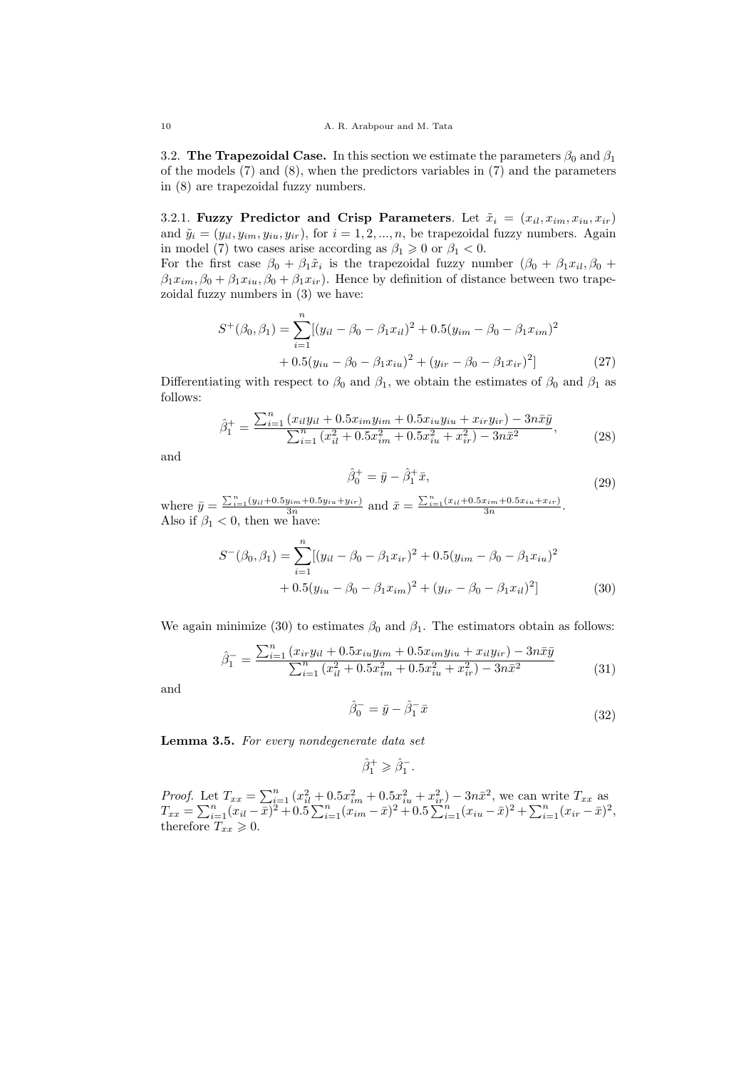3.2. The Trapezoidal Case. In this section we estimate the parameters  $\beta_0$  and  $\beta_1$ of the models  $(7)$  and  $(8)$ , when the predictors variables in  $(7)$  and the parameters in (8) are trapezoidal fuzzy numbers.

3.2.1. Fuzzy Predictor and Crisp Parameters. Let  $\tilde{x}_i = (x_{il}, x_{im}, x_{iu}, x_{ir})$ and  $\tilde{y}_i = (y_{ii}, y_{im}, y_{iu}, y_{ir}),$  for  $i = 1, 2, ..., n$ , be trapezoidal fuzzy numbers. Again in model (7) two cases arise according as  $\beta_1 \geq 0$  or  $\beta_1 < 0$ .

For the first case  $\beta_0 + \beta_1 \tilde{x}_i$  is the trapezoidal fuzzy number  $(\beta_0 + \beta_1 x_{il}, \beta_0 + \beta_1 x_{il})$  $\beta_1 x_{im}, \beta_0 + \beta_1 x_{iu}, \beta_0 + \beta_1 x_{ir}$ . Hence by definition of distance between two trapezoidal fuzzy numbers in (3) we have:

$$
S^{+}(\beta_{0}, \beta_{1}) = \sum_{i=1}^{n} [(y_{il} - \beta_{0} - \beta_{1}x_{il})^{2} + 0.5(y_{im} - \beta_{0} - \beta_{1}x_{im})^{2} + 0.5(y_{iu} - \beta_{0} - \beta_{1}x_{iu})^{2} + (y_{ir} - \beta_{0} - \beta_{1}x_{ir})^{2}]
$$
(27)

Differentiating with respect to  $\beta_0$  and  $\beta_1$ , we obtain the estimates of  $\beta_0$  and  $\beta_1$  as follows:

$$
\hat{\beta}_1^+ = \frac{\sum_{i=1}^n (x_{il}y_{il} + 0.5x_{im}y_{im} + 0.5x_{iu}y_{iu} + x_{ir}y_{ir}) - 3n\bar{x}\bar{y}}{\sum_{i=1}^n (x_{il}^2 + 0.5x_{im}^2 + 0.5x_{iu}^2 + x_{ir}^2) - 3n\bar{x}^2},
$$
\n(28)

and

$$
\hat{\beta}_0^+ = \bar{y} - \hat{\beta}_1^+ \bar{x},\tag{29}
$$

where  $\bar{y} = \frac{\sum_{i=1}^{n} (y_{ii}+0.5y_{im}+0.5y_{iu}+y_{ir})}{3n}$  and  $\bar{x} = \frac{\sum_{i=1}^{n} (x_{il}+0.5x_{im}+0.5x_{iu}+x_{ir})}{3n}$ . Also if  $\beta_1 < 0$ , then we have:

$$
S^{-}(\beta_0, \beta_1) = \sum_{i=1}^{n} [(y_{il} - \beta_0 - \beta_1 x_{ir})^2 + 0.5(y_{im} - \beta_0 - \beta_1 x_{iu})^2
$$
  
+ 0.5(y\_{iu} - \beta\_0 - \beta\_1 x\_{im})^2 + (y\_{ir} - \beta\_0 - \beta\_1 x\_{il})^2] (30)

We again minimize (30) to estimates  $\beta_0$  and  $\beta_1$ . The estimators obtain as follows:

$$
\hat{\beta}_1^- = \frac{\sum_{i=1}^n (x_{ir}y_{il} + 0.5x_{iu}y_{im} + 0.5x_{im}y_{iu} + x_{il}y_{ir}) - 3n\bar{x}\bar{y}}{\sum_{i=1}^n (x_{il}^2 + 0.5x_{im}^2 + 0.5x_{iu}^2 + x_{ir}^2) - 3n\bar{x}^2}
$$
(31)

and

$$
\hat{\beta}_0^- = \bar{y} - \hat{\beta}_1^- \bar{x} \tag{32}
$$

Lemma 3.5. For every nondegenerate data set

$$
\hat{\beta}_1^+ \geqslant \hat{\beta}_1^-.
$$

*Proof.* Let  $T_{xx} = \sum_{i=1}^{n} (x_{il}^2 + 0.5x_{im}^2 + 0.5x_{iu}^2 + x_{ir}^2) - 3n\bar{x}^2$ , we can write  $T_{xx}$  as  $T_{xx} = \sum_{i=1}^{n} (x_{il} - \overline{\overline{x}})^2 + 0.5 \sum_{i=1}^{n} (x_{im} - \overline{x})^2 + 0.5 \sum_{i=1}^{n} (x_{iu} - \overline{x})^2 + \sum_{i=1}^{n} (x_{ir} - \overline{x})^2,$ therefore  $T_{xx} \geqslant 0$ .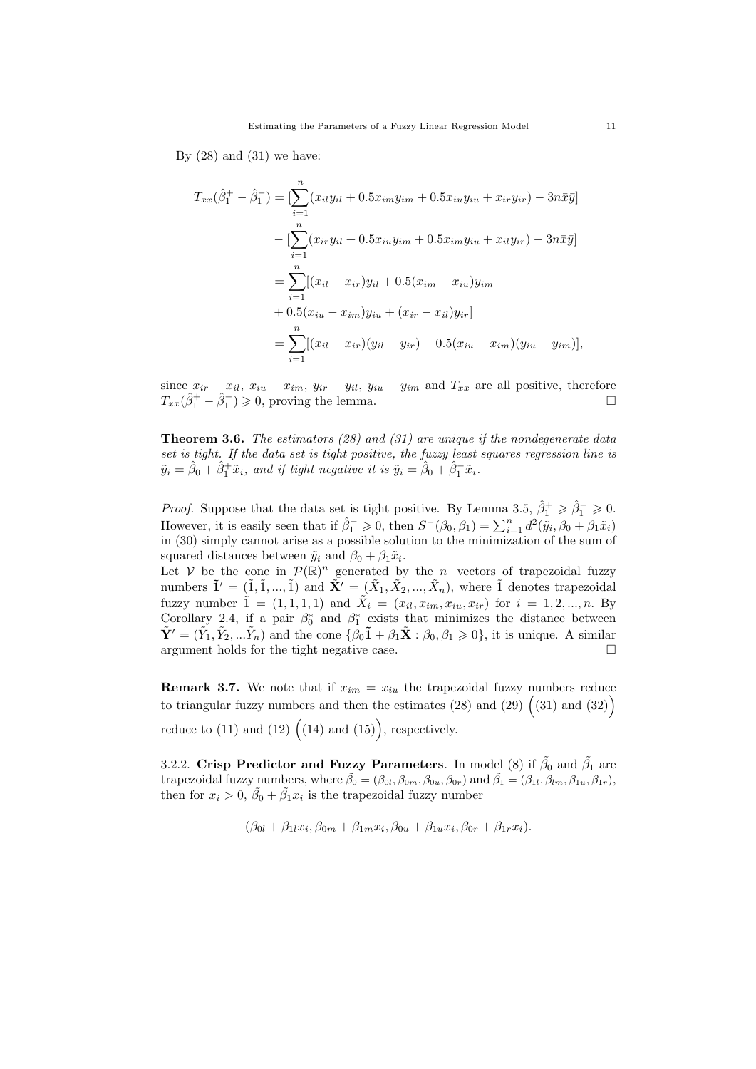By  $(28)$  and  $(31)$  we have:

$$
T_{xx}(\hat{\beta}_1^+ - \hat{\beta}_1^-) = \left[\sum_{i=1}^n (x_{il}y_{il} + 0.5x_{im}y_{im} + 0.5x_{iu}y_{iu} + x_{ir}y_{ir}) - 3n\bar{x}\bar{y}\right]
$$
  

$$
-\left[\sum_{i=1}^n (x_{ir}y_{il} + 0.5x_{iu}y_{im} + 0.5x_{im}y_{iu} + x_{il}y_{ir}) - 3n\bar{x}\bar{y}\right]
$$
  

$$
=\sum_{i=1}^n [(x_{il} - x_{ir})y_{il} + 0.5(x_{im} - x_{iu})y_{im}
$$
  

$$
+ 0.5(x_{iu} - x_{im})y_{iu} + (x_{ir} - x_{il})y_{ir}]
$$
  

$$
=\sum_{i=1}^n [(x_{il} - x_{ir})(y_{il} - y_{ir}) + 0.5(x_{iu} - x_{im})(y_{iu} - y_{im})],
$$

since  $x_{ir} - x_{il}$ ,  $x_{iu} - x_{im}$ ,  $y_{ir} - y_{il}$ ,  $y_{iu} - y_{im}$  and  $T_{xx}$  are all positive, therefore  $T_{xx}(\hat{\beta}_1^+ - \hat{\beta}_1^-) \geq 0$ , proving the lemma.

**Theorem 3.6.** The estimators (28) and (31) are unique if the nondegenerate data set is tight. If the data set is tight positive, the fuzzy least squares regression line is  $\tilde{y}_i = \hat{\beta}_0 + \hat{\beta}_1^+ \tilde{x}_i$ , and if tight negative it is  $\tilde{y}_i = \hat{\beta}_0 + \hat{\beta}_1^- \tilde{x}_i$ .

*Proof.* Suppose that the data set is tight positive. By Lemma 3.5,  $\hat{\beta}_1^+ \geq \hat{\beta}_1^- \geq 0$ . However, it is easily seen that if  $\hat{\beta}_1^- \geq 0$ , then  $S^-(\beta_0, \beta_1) = \sum_{i=1}^n d^2(\tilde{y}_i, \beta_0 + \beta_1 \tilde{x}_i)$ in (30) simply cannot arise as a possible solution to the minimization of the sum of squared distances between  $\tilde{y}_i$  and  $\beta_0 + \beta_1 \tilde{x}_i$ .

Let V be the cone in  $\mathcal{P}(\mathbb{R})^n$  generated by the n-vectors of trapezoidal fuzzy numbers  $\tilde{\mathbf{1}}' = (\tilde{1}, \tilde{1}, ..., \tilde{1})$  and  $\tilde{\mathbf{X}}' = (\tilde{X}_1, \tilde{X}_2, ..., \tilde{X}_n)$ , where  $\tilde{1}$  denotes trapezoidal fuzzy number  $\tilde{1} = (1, 1, 1, 1)$  and  $\tilde{X}_i = (x_{il}, x_{im}, x_{iu}, x_{ir})$  for  $i = 1, 2, ..., n$ . By Corollary 2.4, if a pair  $\beta_0^*$  and  $\beta_1^*$  exists that minimizes the distance between  $\tilde{\mathbf{Y}}' = (\tilde{Y}_1, \tilde{Y}_2, \dots, \tilde{Y}_n)$  and the cone  $\{\beta_0\tilde{\mathbf{1}} + \beta_1\tilde{\mathbf{X}} : \beta_0, \beta_1 \geq 0\}$ , it is unique. A similar argument holds for the tight negative case.

**Remark 3.7.** We note that if  $x_{im} = x_{iu}$  the trapezoidal fuzzy numbers reduce to triangular fuzzy numbers and then the estimates (28) and (29)  $(31)$  and (32) reduce to (11) and (12)  $((14)$  and (15), respectively.

3.2.2. Crisp Predictor and Fuzzy Parameters. In model (8) if  $\tilde{\beta}_0$  and  $\tilde{\beta}_1$  are trapezoidal fuzzy numbers, where  $\tilde{\beta}_0 = (\beta_{0l}, \beta_{0m}, \beta_{0u}, \beta_{0r})$  and  $\tilde{\beta}_1 = (\beta_{1l}, \beta_{lm}, \beta_{1u}, \beta_{1r})$ , then for  $x_i > 0$ ,  $\tilde{\beta}_0 + \tilde{\beta}_1 x_i$  is the trapezoidal fuzzy number

$$
(\beta_{0l} + \beta_{1l}x_i, \beta_{0m} + \beta_{1m}x_i, \beta_{0u} + \beta_{1u}x_i, \beta_{0r} + \beta_{1r}x_i).
$$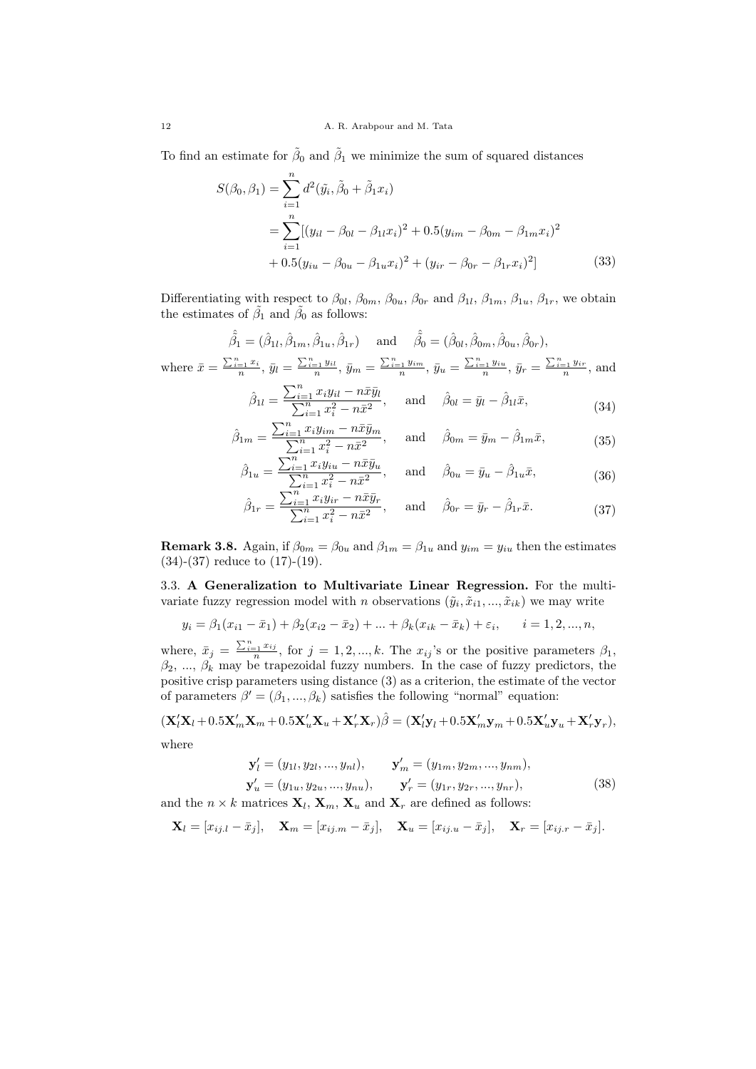To find an estimate for  $\tilde{\beta}_0$  and  $\tilde{\beta}_1$  we minimize the sum of squared distances

$$
S(\beta_0, \beta_1) = \sum_{i=1}^n d^2(\tilde{y}_i, \tilde{\beta}_0 + \tilde{\beta}_1 x_i)
$$
  
= 
$$
\sum_{i=1}^n [(y_{il} - \beta_{0l} - \beta_{1l} x_i)^2 + 0.5(y_{im} - \beta_{0m} - \beta_{1m} x_i)^2
$$
  
+ 
$$
0.5(y_{iu} - \beta_{0u} - \beta_{1u} x_i)^2 + (y_{ir} - \beta_{0r} - \beta_{1r} x_i)^2]
$$
(33)

Differentiating with respect to  $\beta_{0l}$ ,  $\beta_{0m}$ ,  $\beta_{0u}$ ,  $\beta_{0r}$  and  $\beta_{1l}$ ,  $\beta_{1m}$ ,  $\beta_{1u}$ ,  $\beta_{1r}$ , we obtain the estimates of  $\tilde{\beta}_1$  and  $\tilde{\beta}_0$  as follows:

$$
\hat{\hat{\beta}}_1 = (\hat{\beta}_{1l}, \hat{\beta}_{1m}, \hat{\beta}_{1u}, \hat{\beta}_{1r}) \quad \text{and} \quad \hat{\hat{\beta}}_0 = (\hat{\beta}_{0l}, \hat{\beta}_{0m}, \hat{\beta}_{0u}, \hat{\beta}_{0r}),
$$
  
where  $\bar{x} = \frac{\sum_{i=1}^n x_i}{n}$ ,  $\bar{y}_l = \frac{\sum_{i=1}^n y_{il}}{n}$ ,  $\bar{y}_m = \frac{\sum_{i=1}^n y_{im}}{n}$ ,  $\bar{y}_u = \frac{\sum_{i=1}^n y_{iu}}{n}$ ,  $\bar{y}_r = \frac{\sum_{i=1}^n y_{ir}}{n}$ , and

$$
\hat{\beta}_{1l} = \frac{\sum_{i=1}^{n} x_i y_{il} - n \bar{x} \bar{y}_l}{\sum_{i=1}^{n} x_i^2 - n \bar{x}^2}, \quad \text{and} \quad \hat{\beta}_{0l} = \bar{y}_l - \hat{\beta}_{1l} \bar{x}, \tag{34}
$$

$$
\hat{\beta}_{1m} = \frac{\sum_{i=1}^{n} x_i y_{im} - n \bar{x} \bar{y}_m}{\sum_{i=1}^{n} x_i^2 - n \bar{x}^2}, \quad \text{and} \quad \hat{\beta}_{0m} = \bar{y}_m - \hat{\beta}_{1m} \bar{x}, \tag{35}
$$

$$
\hat{\beta}_{1u} = \frac{\sum_{i=1}^{n} x_i y_{iu} - n \bar{x} \bar{y}_u}{\sum_{i=1}^{n} x_i^2 - n \bar{x}^2}, \quad \text{and} \quad \hat{\beta}_{0u} = \bar{y}_u - \hat{\beta}_{1u} \bar{x}, \tag{36}
$$

$$
\hat{\beta}_{1r} = \frac{\sum_{i=1}^{n} x_i y_{ir} - n \bar{x} \bar{y}_r}{\sum_{i=1}^{n} x_i^2 - n \bar{x}^2}, \quad \text{and} \quad \hat{\beta}_{0r} = \bar{y}_r - \hat{\beta}_{1r} \bar{x}.
$$
 (37)

**Remark 3.8.** Again, if  $\beta_{0m} = \beta_{0u}$  and  $\beta_{1m} = \beta_{1u}$  and  $y_{im} = y_{iu}$  then the estimates (34)-(37) reduce to (17)-(19).

3.3. A Generalization to Multivariate Linear Regression. For the multivariate fuzzy regression model with n observations  $(\tilde{y}_i, \tilde{x}_{i1}, ..., \tilde{x}_{ik})$  we may write

$$
y_i = \beta_1(x_{i1} - \bar{x}_{1}) + \beta_2(x_{i2} - \bar{x}_{2}) + \dots + \beta_k(x_{ik} - \bar{x}_{k}) + \varepsilon_i, \qquad i = 1, 2, ..., n,
$$

where,  $\bar{x}_j = \frac{\sum_{i=1}^n x_{ij}}{n}$ , for  $j = 1, 2, ..., k$ . The  $x_{ij}$ 's or the positive parameters  $\beta_1$ ,  $\beta_2, \ldots, \beta_k$  may be trapezoidal fuzzy numbers. In the case of fuzzy predictors, the positive crisp parameters using distance (3) as a criterion, the estimate of the vector of parameters  $\beta' = (\beta_1, ..., \beta_k)$  satisfies the following "normal" equation:

$$
(\mathbf{X}_l'\mathbf{X}_l+0.5\mathbf{X}_m'\mathbf{X}_m+0.5\mathbf{X}_u'\mathbf{X}_u+\mathbf{X}_r'\mathbf{X}_r)\hat{\beta}=(\mathbf{X}_l'\mathbf{y}_l+0.5\mathbf{X}_m'\mathbf{y}_m+0.5\mathbf{X}_u'\mathbf{y}_u+\mathbf{X}_r'\mathbf{y}_r),
$$
 where

$$
\mathbf{y}'_l = (y_{1l}, y_{2l}, ..., y_{nl}), \qquad \mathbf{y}'_m = (y_{1m}, y_{2m}, ..., y_{nm}),
$$
  

$$
\mathbf{y}'_u = (y_{1u}, y_{2u}, ..., y_{nu}), \qquad \mathbf{y}'_r = (y_{1r}, y_{2r}, ..., y_{nr}),
$$
(38)

and the  $n \times k$  matrices  $\mathbf{X}_l$ ,  $\mathbf{X}_m$ ,  $\mathbf{X}_u$  and  $\mathbf{X}_r$  are defined as follows:

$$
\mathbf{X}_l = [x_{ij,l} - \bar{x}_j], \quad \mathbf{X}_m = [x_{ij,m} - \bar{x}_j], \quad \mathbf{X}_u = [x_{ij,u} - \bar{x}_j], \quad \mathbf{X}_r = [x_{ij,r} - \bar{x}_j].
$$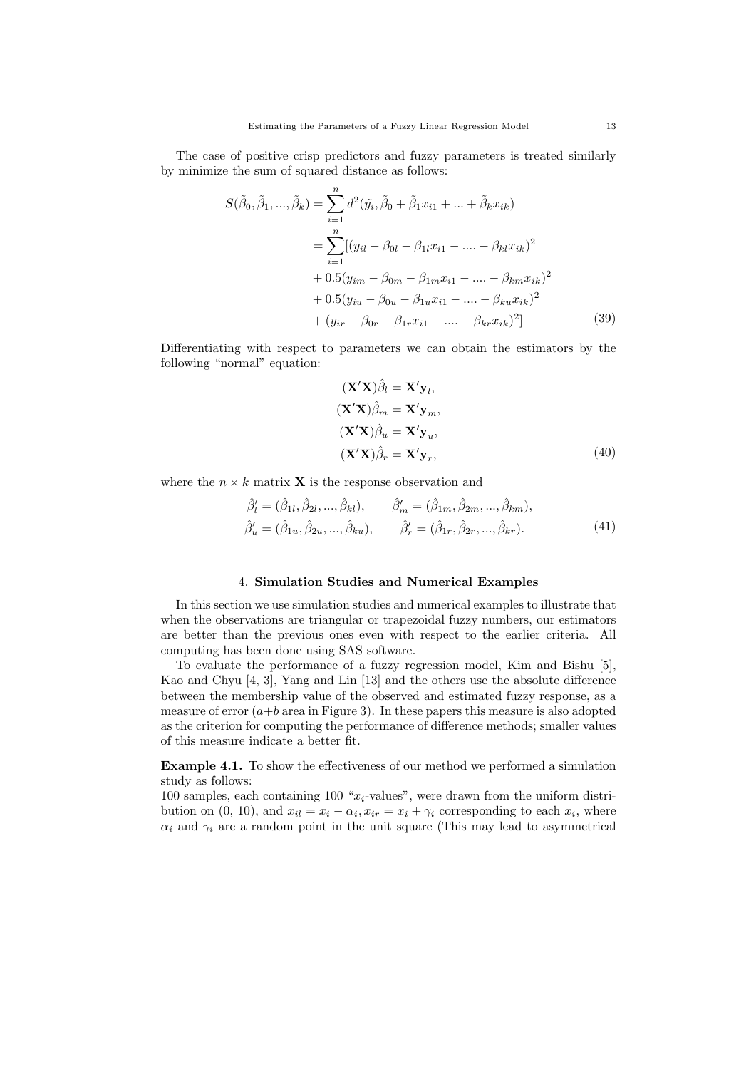The case of positive crisp predictors and fuzzy parameters is treated similarly by minimize the sum of squared distance as follows:

$$
S(\tilde{\beta}_0, \tilde{\beta}_1, ..., \tilde{\beta}_k) = \sum_{i=1}^n d^2(\tilde{y}_i, \tilde{\beta}_0 + \tilde{\beta}_1 x_{i1} + ... + \tilde{\beta}_k x_{ik})
$$
  
= 
$$
\sum_{i=1}^n [(y_{il} - \beta_{0l} - \beta_{1l} x_{i1} - ... - \beta_{kl} x_{ik})^2
$$
  
+ 0.5(y<sub>im</sub> - \beta\_{0m} - \beta\_{1m} x\_{i1} - ... - \beta\_{km} x\_{ik})^2  
+ 0.5(y<sub>iu</sub> - \beta\_{0u} - \beta\_{1u} x\_{i1} - ... - \beta\_{ku} x\_{ik})^2  
+ (y<sub>ir</sub> - \beta\_{0r} - \beta\_{1r} x\_{i1} - ... - \beta\_{kr} x\_{ik})^2] (39)

Differentiating with respect to parameters we can obtain the estimators by the following "normal" equation:

$$
(\mathbf{X}'\mathbf{X})\hat{\beta}_l = \mathbf{X}'\mathbf{y}_l,
$$
  
\n
$$
(\mathbf{X}'\mathbf{X})\hat{\beta}_m = \mathbf{X}'\mathbf{y}_m,
$$
  
\n
$$
(\mathbf{X}'\mathbf{X})\hat{\beta}_u = \mathbf{X}'\mathbf{y}_u,
$$
  
\n
$$
(\mathbf{X}'\mathbf{X})\hat{\beta}_r = \mathbf{X}'\mathbf{y}_r,
$$
\n(40)

where the  $n \times k$  matrix **X** is the response observation and

$$
\hat{\beta}'_l = (\hat{\beta}_{1l}, \hat{\beta}_{2l}, ..., \hat{\beta}_{kl}), \qquad \hat{\beta}'_m = (\hat{\beta}_{1m}, \hat{\beta}_{2m}, ..., \hat{\beta}_{km}), \n\hat{\beta}'_u = (\hat{\beta}_{1u}, \hat{\beta}_{2u}, ..., \hat{\beta}_{ku}), \qquad \hat{\beta}'_r = (\hat{\beta}_{1r}, \hat{\beta}_{2r}, ..., \hat{\beta}_{kr}).
$$
\n(41)

## 4. Simulation Studies and Numerical Examples

In this section we use simulation studies and numerical examples to illustrate that when the observations are triangular or trapezoidal fuzzy numbers, our estimators are better than the previous ones even with respect to the earlier criteria. All computing has been done using SAS software.

To evaluate the performance of a fuzzy regression model, Kim and Bishu [5], Kao and Chyu [4, 3], Yang and Lin [13] and the others use the absolute difference between the membership value of the observed and estimated fuzzy response, as a measure of error  $(a+b \text{ area in Figure 3})$ . In these papers this measure is also adopted as the criterion for computing the performance of difference methods; smaller values of this measure indicate a better fit.

Example 4.1. To show the effectiveness of our method we performed a simulation study as follows:

100 samples, each containing 100 " $x_i$ -values", were drawn from the uniform distribution on (0, 10), and  $x_{il} = x_i - \alpha_i$ ,  $x_{ir} = x_i + \gamma_i$  corresponding to each  $x_i$ , where  $\alpha_i$  and  $\gamma_i$  are a random point in the unit square (This may lead to asymmetrical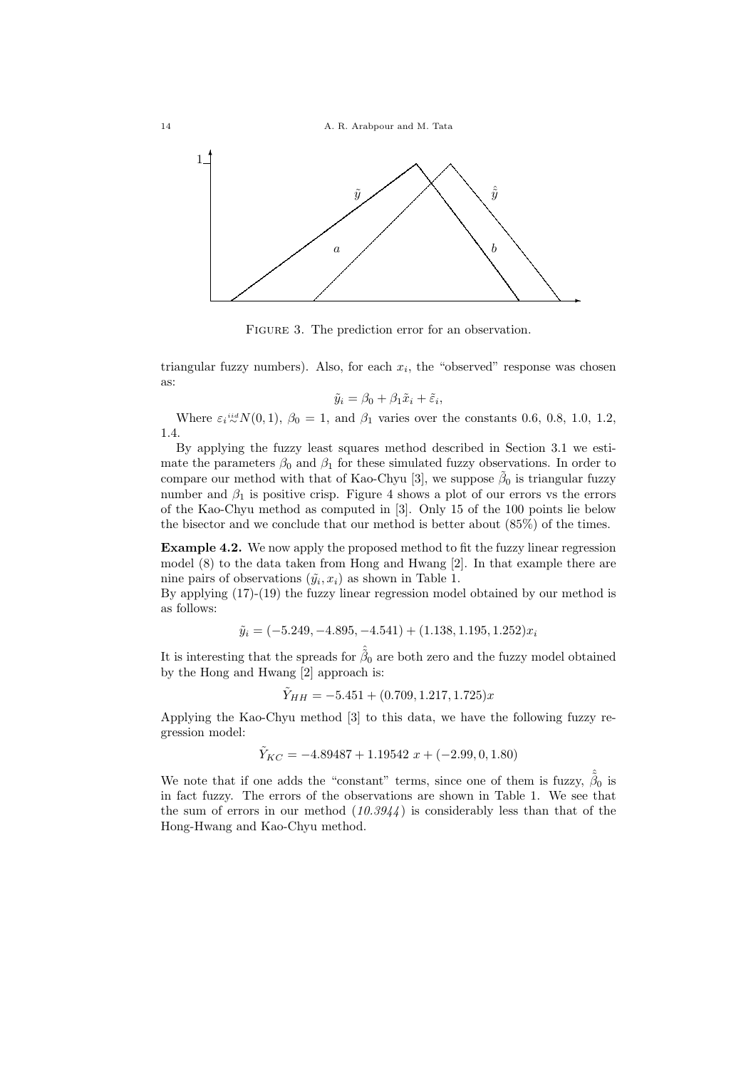

FIGURE 3. The prediction error for an observation.

triangular fuzzy numbers). Also, for each  $x_i$ , the "observed" response was chosen as:

$$
\tilde{y}_i = \beta_0 + \beta_1 \tilde{x}_i + \tilde{\varepsilon}_i,
$$

Where  $\varepsilon_i \stackrel{iid}{\sim} N(0,1)$ ,  $\beta_0 = 1$ , and  $\beta_1$  varies over the constants 0.6, 0.8, 1.0, 1.2, 1.4.

By applying the fuzzy least squares method described in Section 3.1 we estimate the parameters  $\beta_0$  and  $\beta_1$  for these simulated fuzzy observations. In order to compare our method with that of Kao-Chyu [3], we suppose  $\tilde{\beta}_0$  is triangular fuzzy number and  $\beta_1$  is positive crisp. Figure 4 shows a plot of our errors vs the errors of the Kao-Chyu method as computed in [3]. Only 15 of the 100 points lie below the bisector and we conclude that our method is better about (85%) of the times.

Example 4.2. We now apply the proposed method to fit the fuzzy linear regression model (8) to the data taken from Hong and Hwang [2]. In that example there are nine pairs of observations  $(\tilde{y}_i, x_i)$  as shown in Table 1.

By applying (17)-(19) the fuzzy linear regression model obtained by our method is as follows:

$$
\tilde{y}_i = (-5.249, -4.895, -4.541) + (1.138, 1.195, 1.252)x_i
$$

It is interesting that the spreads for  $\hat{\tilde{\beta}}_0$  are both zero and the fuzzy model obtained by the Hong and Hwang [2] approach is:

$$
\tilde{Y}_{HH} = -5.451 + (0.709, 1.217, 1.725)x
$$

Applying the Kao-Chyu method [3] to this data, we have the following fuzzy regression model:

$$
\tilde{Y}_{KC} = -4.89487 + 1.19542 x + (-2.99, 0, 1.80)
$$

We note that if one adds the "constant" terms, since one of them is fuzzy,  $\hat{\tilde{\beta}}_0$  is in fact fuzzy. The errors of the observations are shown in Table 1. We see that the sum of errors in our method  $(10.3944)$  is considerably less than that of the Hong-Hwang and Kao-Chyu method.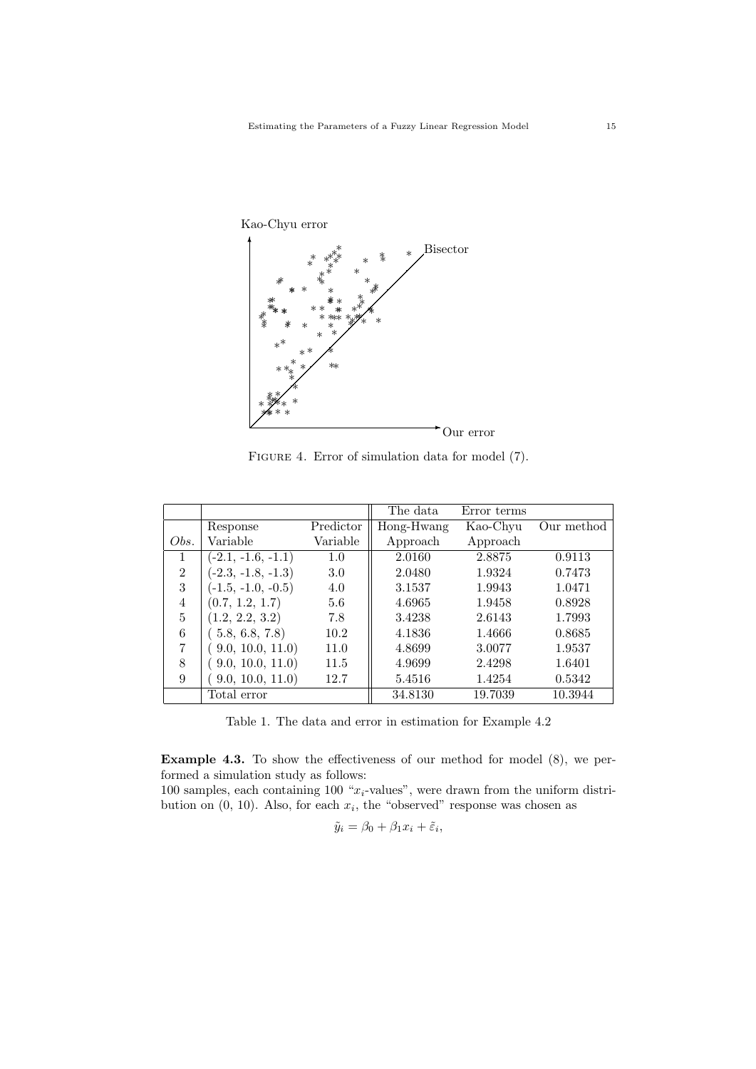

FIGURE 4. Error of simulation data for model (7).

|                |                      |           | The data   | Error terms |            |
|----------------|----------------------|-----------|------------|-------------|------------|
|                | Response             | Predictor | Hong-Hwang | Kao-Chyu    | Our method |
| Obs.           | Variable             | Variable  | Approach   | Approach    |            |
| 1              | $(-2.1, -1.6, -1.1)$ | 1.0       | 2.0160     | 2.8875      | 0.9113     |
| $\overline{2}$ | $(-2.3, -1.8, -1.3)$ | 3.0       | 2.0480     | 1.9324      | 0.7473     |
| 3              | $(-1.5, -1.0, -0.5)$ | 4.0       | 3.1537     | 1.9943      | 1.0471     |
| 4              | (0.7, 1.2, 1.7)      | 5.6       | 4.6965     | 1.9458      | 0.8928     |
| 5              | (1.2, 2.2, 3.2)      | 7.8       | 3.4238     | 2.6143      | 1.7993     |
| 6              | (5.8, 6.8, 7.8)      | 10.2      | 4.1836     | 1.4666      | 0.8685     |
| 7              | (9.0, 10.0, 11.0)    | 11.0      | 4.8699     | 3.0077      | 1.9537     |
| 8              | (9.0, 10.0, 11.0)    | 11.5      | 4.9699     | 2.4298      | 1.6401     |
| 9              | 9.0, 10.0, 11.0)     | 12.7      | 5.4516     | 1.4254      | 0.5342     |
|                | Total error          |           | 34.8130    | 19.7039     | 10.3944    |

Table 1. The data and error in estimation for Example 4.2

Example 4.3. To show the effectiveness of our method for model (8), we performed a simulation study as follows:

100 samples, each containing 100  $x_i$ -values", were drawn from the uniform distribution on  $(0, 10)$ . Also, for each  $x_i$ , the "observed" response was chosen as

$$
\tilde{y}_i = \beta_0 + \beta_1 x_i + \tilde{\varepsilon}_i,
$$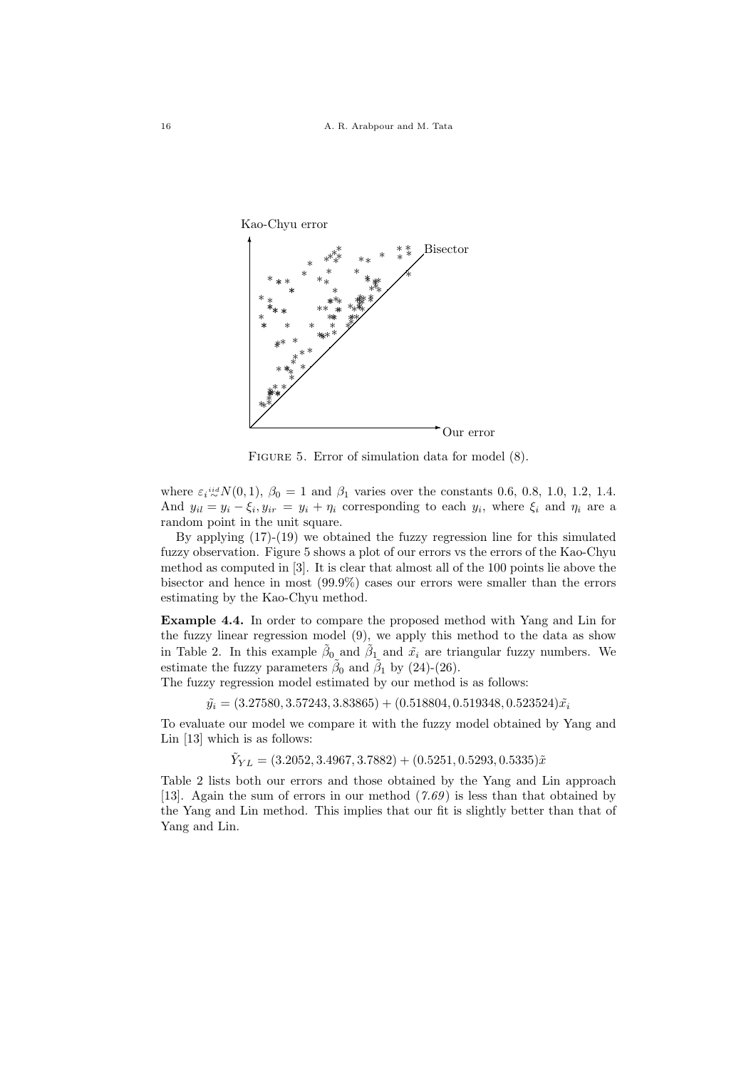

FIGURE 5. Error of simulation data for model  $(8)$ .

where  $\varepsilon_i \stackrel{iid}{\sim} N(0, 1)$ ,  $\beta_0 = 1$  and  $\beta_1$  varies over the constants 0.6, 0.8, 1.0, 1.2, 1.4. And  $y_{il} = y_i - \xi_i, y_{ir} = y_i + \eta_i$  corresponding to each  $y_i$ , where  $\xi_i$  and  $\eta_i$  are a random point in the unit square.

By applying (17)-(19) we obtained the fuzzy regression line for this simulated fuzzy observation. Figure 5 shows a plot of our errors vs the errors of the Kao-Chyu method as computed in [3]. It is clear that almost all of the 100 points lie above the bisector and hence in most (99.9%) cases our errors were smaller than the errors estimating by the Kao-Chyu method.

Example 4.4. In order to compare the proposed method with Yang and Lin for the fuzzy linear regression model (9), we apply this method to the data as show in Table 2. In this example  $\tilde{\beta}_0$  and  $\tilde{\beta}_1$  and  $\tilde{x}_i$  are triangular fuzzy numbers. We estimate the fuzzy parameters  $\tilde{\beta}_0$  and  $\tilde{\beta}_1$  by (24)-(26).

The fuzzy regression model estimated by our method is as follows:

 $\tilde{y}_i = (3.27580, 3.57243, 3.83865) + (0.518804, 0.519348, 0.523524)\tilde{x}_i$ 

To evaluate our model we compare it with the fuzzy model obtained by Yang and Lin [13] which is as follows:

 $\tilde{Y}_{YL} = (3.2052, 3.4967, 3.7882) + (0.5251, 0.5293, 0.5335)\tilde{x}$ 

Table 2 lists both our errors and those obtained by the Yang and Lin approach [13]. Again the sum of errors in our method  $(7.69)$  is less than that obtained by the Yang and Lin method. This implies that our fit is slightly better than that of Yang and Lin.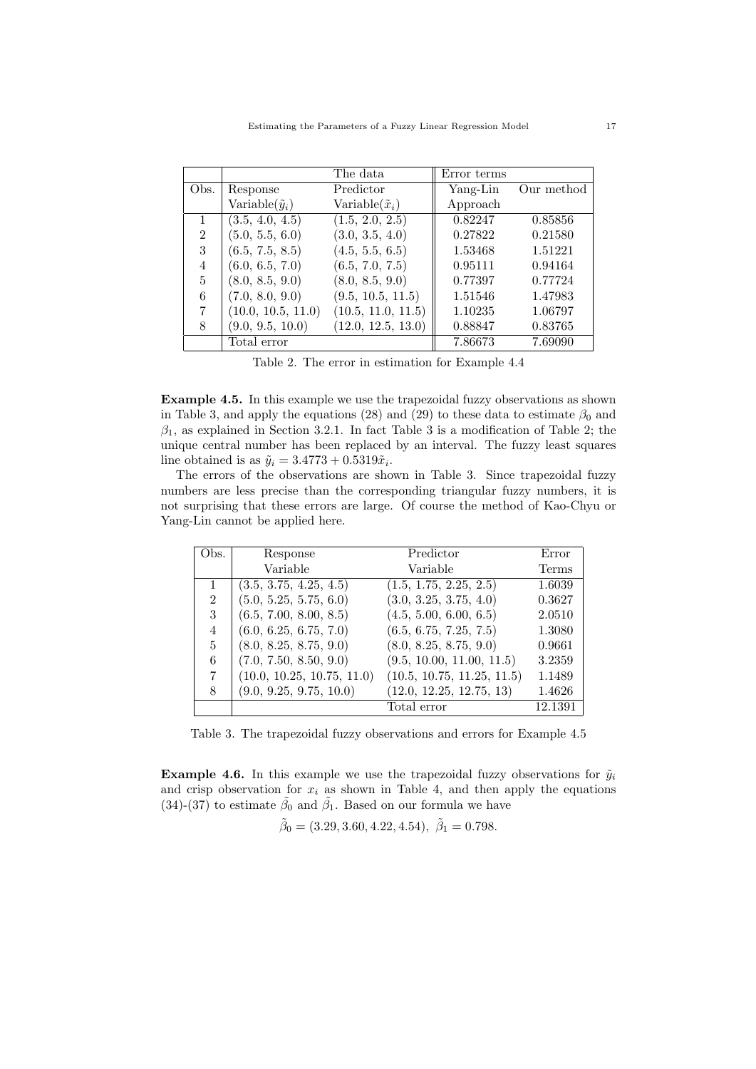|                |                          | The data                 | Error terms |            |
|----------------|--------------------------|--------------------------|-------------|------------|
| Obs.           | Response                 | Predictor                | Yang-Lin    | Our method |
|                | Variable $(\tilde{y}_i)$ | Variable $(\tilde{x}_i)$ | Approach    |            |
|                | (3.5, 4.0, 4.5)          | (1.5, 2.0, 2.5)          | 0.82247     | 0.85856    |
| $\mathfrak{D}$ | (5.0, 5.5, 6.0)          | (3.0, 3.5, 4.0)          | 0.27822     | 0.21580    |
| 3              | (6.5, 7.5, 8.5)          | (4.5, 5.5, 6.5)          | 1.53468     | 1.51221    |
| 4              | (6.0, 6.5, 7.0)          | (6.5, 7.0, 7.5)          | 0.95111     | 0.94164    |
| 5              | (8.0, 8.5, 9.0)          | (8.0, 8.5, 9.0)          | 0.77397     | 0.77724    |
| 6              | (7.0, 8.0, 9.0)          | (9.5, 10.5, 11.5)        | 1.51546     | 1.47983    |
| 7              | (10.0, 10.5, 11.0)       | (10.5, 11.0, 11.5)       | 1.10235     | 1.06797    |
| 8              | (9.0, 9.5, 10.0)         | (12.0, 12.5, 13.0)       | 0.88847     | 0.83765    |
|                | Total error              |                          | 7.86673     | 7.69090    |

Table 2. The error in estimation for Example 4.4

Example 4.5. In this example we use the trapezoidal fuzzy observations as shown in Table 3, and apply the equations (28) and (29) to these data to estimate  $\beta_0$  and  $\beta_1$ , as explained in Section 3.2.1. In fact Table 3 is a modification of Table 2; the unique central number has been replaced by an interval. The fuzzy least squares line obtained is as  $\tilde{y}_i = 3.4773 + 0.5319\tilde{x}_i$ .

The errors of the observations are shown in Table 3. Since trapezoidal fuzzy numbers are less precise than the corresponding triangular fuzzy numbers, it is not surprising that these errors are large. Of course the method of Kao-Chyu or Yang-Lin cannot be applied here.

| Obs.           | Response                   | Predictor                  | Error   |
|----------------|----------------------------|----------------------------|---------|
|                | Variable                   | Variable                   | Terms   |
| $\mathbf{1}$   | (3.5, 3.75, 4.25, 4.5)     | (1.5, 1.75, 2.25, 2.5)     | 1.6039  |
| $\overline{2}$ | (5.0, 5.25, 5.75, 6.0)     | (3.0, 3.25, 3.75, 4.0)     | 0.3627  |
| 3              | (6.5, 7.00, 8.00, 8.5)     | (4.5, 5.00, 6.00, 6.5)     | 2.0510  |
| 4              | (6.0, 6.25, 6.75, 7.0)     | (6.5, 6.75, 7.25, 7.5)     | 1.3080  |
| 5              | (8.0, 8.25, 8.75, 9.0)     | (8.0, 8.25, 8.75, 9.0)     | 0.9661  |
| 6              | (7.0, 7.50, 8.50, 9.0)     | (9.5, 10.00, 11.00, 11.5)  | 3.2359  |
| 7              | (10.0, 10.25, 10.75, 11.0) | (10.5, 10.75, 11.25, 11.5) | 1.1489  |
| 8              | (9.0, 9.25, 9.75, 10.0)    | (12.0, 12.25, 12.75, 13)   | 1.4626  |
|                |                            | Total error                | 12.1391 |

Table 3. The trapezoidal fuzzy observations and errors for Example 4.5

**Example 4.6.** In this example we use the trapezoidal fuzzy observations for  $\tilde{y}_i$ and crisp observation for  $x_i$  as shown in Table 4, and then apply the equations (34)-(37) to estimate  $\tilde{\beta}_0$  and  $\tilde{\beta}_1$ . Based on our formula we have

$$
\tilde{\beta}_0 = (3.29, 3.60, 4.22, 4.54), \ \tilde{\beta}_1 = 0.798.
$$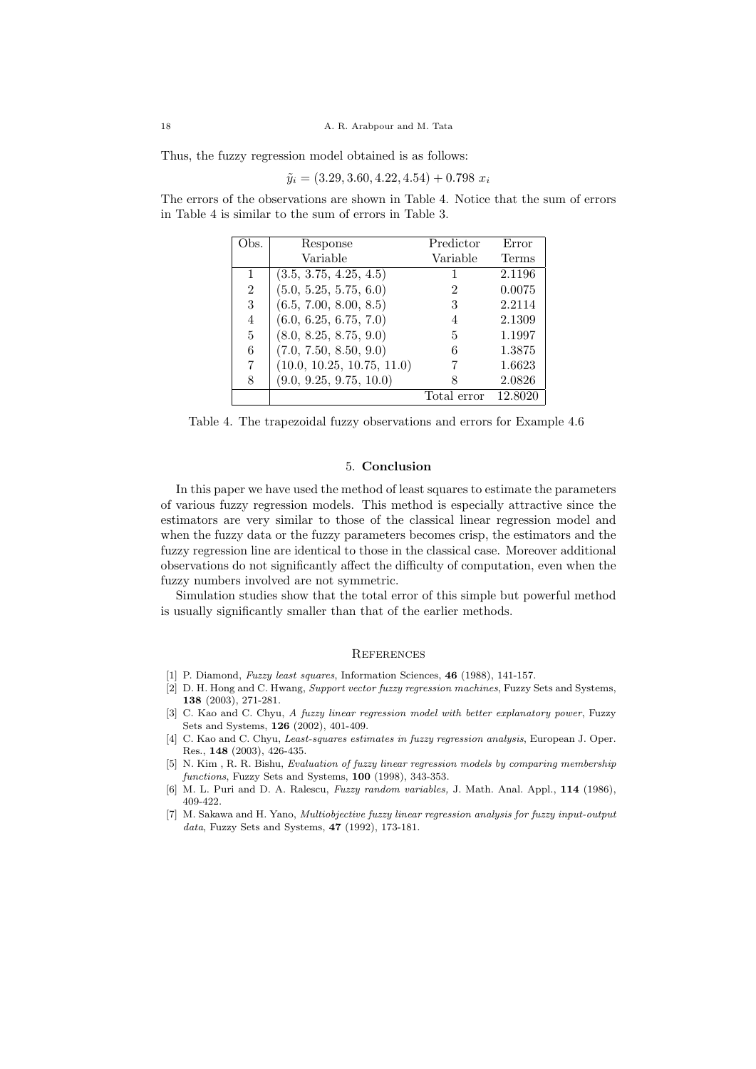Thus, the fuzzy regression model obtained is as follows:

$$
\tilde{y}_i = (3.29, 3.60, 4.22, 4.54) + 0.798 x_i
$$

The errors of the observations are shown in Table 4. Notice that the sum of errors in Table 4 is similar to the sum of errors in Table 3.

| Obs.           | Response                   | Predictor   | Error   |
|----------------|----------------------------|-------------|---------|
|                | Variable                   | Variable    | Terms   |
|                | (3.5, 3.75, 4.25, 4.5)     |             | 2.1196  |
| $\overline{2}$ | (5.0, 5.25, 5.75, 6.0)     | 2           | 0.0075  |
| 3              | (6.5, 7.00, 8.00, 8.5)     | 3           | 2.2114  |
| $\overline{4}$ | (6.0, 6.25, 6.75, 7.0)     | 4           | 2.1309  |
| 5              | (8.0, 8.25, 8.75, 9.0)     | 5           | 1.1997  |
| 6              | (7.0, 7.50, 8.50, 9.0)     | 6           | 1.3875  |
| 7              | (10.0, 10.25, 10.75, 11.0) |             | 1.6623  |
| 8              | (9.0, 9.25, 9.75, 10.0)    |             | 2.0826  |
|                |                            | Total error | 12.8020 |

Table 4. The trapezoidal fuzzy observations and errors for Example 4.6

# 5. Conclusion

In this paper we have used the method of least squares to estimate the parameters of various fuzzy regression models. This method is especially attractive since the estimators are very similar to those of the classical linear regression model and when the fuzzy data or the fuzzy parameters becomes crisp, the estimators and the fuzzy regression line are identical to those in the classical case. Moreover additional observations do not significantly affect the difficulty of computation, even when the fuzzy numbers involved are not symmetric.

Simulation studies show that the total error of this simple but powerful method is usually significantly smaller than that of the earlier methods.

#### **REFERENCES**

- [1] P. Diamond, *Fuzzy least squares*, Information Sciences, 46 (1988), 141-157.
- [2] D. H. Hong and C. Hwang, Support vector fuzzy regression machines, Fuzzy Sets and Systems, 138 (2003), 271-281.
- [3] C. Kao and C. Chyu, A fuzzy linear regression model with better explanatory power, Fuzzy Sets and Systems, 126 (2002), 401-409.
- [4] C. Kao and C. Chyu, Least-squares estimates in fuzzy regression analysis, European J. Oper. Res., 148 (2003), 426-435.
- [5] N. Kim , R. R. Bishu, Evaluation of fuzzy linear regression models by comparing membership functions, Fuzzy Sets and Systems, 100 (1998), 343-353.
- [6] M. L. Puri and D. A. Ralescu, Fuzzy random variables, J. Math. Anal. Appl., 114 (1986), 409-422.
- [7] M. Sakawa and H. Yano, Multiobjective fuzzy linear regression analysis for fuzzy input-output data, Fuzzy Sets and Systems,  $47$  (1992), 173-181.